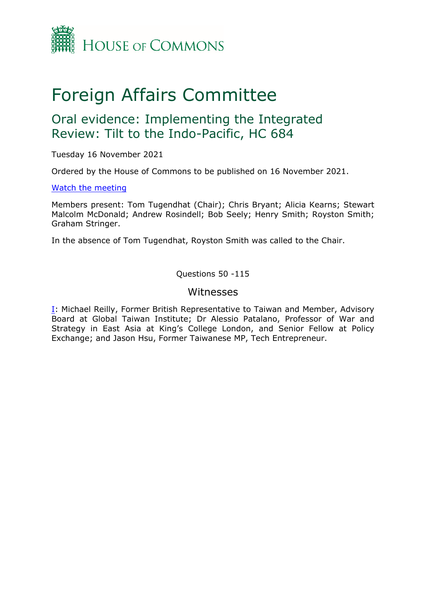

# Foreign Affairs Committee

# Oral evidence: Implementing the Integrated Review: Tilt to the Indo-Pacific, HC 684

Tuesday 16 November 2021

Ordered by the House of Commons to be published on 16 November 2021.

#### [Watch](https://parliamentlive.tv/event/index/80368132-da3e-4af0-a793-f3004eecc30f) [the](https://parliamentlive.tv/event/index/80368132-da3e-4af0-a793-f3004eecc30f) [meeting](https://parliamentlive.tv/event/index/80368132-da3e-4af0-a793-f3004eecc30f)

Members present: Tom Tugendhat (Chair); Chris Bryant; Alicia Kearns; Stewart Malcolm McDonald; Andrew Rosindell; Bob Seely; Henry Smith; Royston Smith; Graham Stringer.

In the absence of Tom Tugendhat, Royston Smith was called to the Chair.

Questions 50 -115

### Witnesses

[I:](#page-1-0) Michael Reilly, Former British Representative to Taiwan and Member, Advisory Board at Global Taiwan Institute; Dr Alessio Patalano, Professor of War and Strategy in East Asia at King's College London, and Senior Fellow at Policy Exchange; and Jason Hsu, Former Taiwanese MP, Tech Entrepreneur.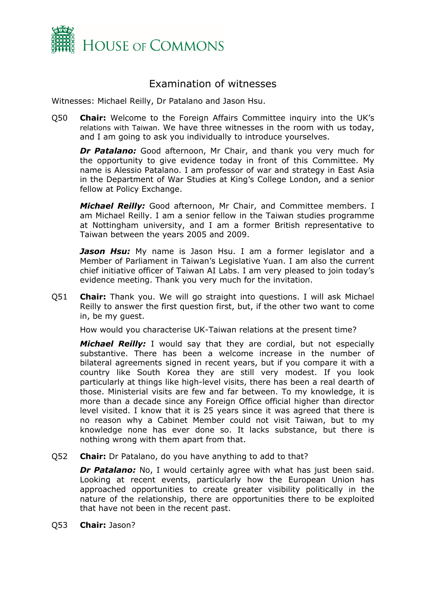

## <span id="page-1-0"></span>Examination of witnesses

Witnesses: Michael Reilly, Dr Patalano and Jason Hsu.

Q50 **Chair:** Welcome to the Foreign Affairs Committee inquiry into the UK's relations with Taiwan. We have three witnesses in the room with us today, and I am going to ask you individually to introduce yourselves.

*Dr Patalano:* Good afternoon, Mr Chair, and thank you very much for the opportunity to give evidence today in front of this Committee. My name is Alessio Patalano. I am professor of war and strategy in East Asia in the Department of War Studies at King's College London, and a senior fellow at Policy Exchange.

*Michael Reilly:* Good afternoon, Mr Chair, and Committee members. I am Michael Reilly. I am a senior fellow in the Taiwan studies programme at Nottingham university, and I am a former British representative to Taiwan between the years 2005 and 2009.

*Jason Hsu:* My name is Jason Hsu. I am a former legislator and a Member of Parliament in Taiwan's Legislative Yuan. I am also the current chief initiative officer of Taiwan AI Labs. I am very pleased to join today's evidence meeting. Thank you very much for the invitation.

Q51 **Chair:** Thank you. We will go straight into questions. I will ask Michael Reilly to answer the first question first, but, if the other two want to come in, be my guest.

How would you characterise UK-Taiwan relations at the present time?

*Michael Reilly:* I would say that they are cordial, but not especially substantive. There has been a welcome increase in the number of bilateral agreements signed in recent years, but if you compare it with a country like South Korea they are still very modest. If you look particularly at things like high-level visits, there has been a real dearth of those. Ministerial visits are few and far between. To my knowledge, it is more than a decade since any Foreign Office official higher than director level visited. I know that it is 25 years since it was agreed that there is no reason why a Cabinet Member could not visit Taiwan, but to my knowledge none has ever done so. It lacks substance, but there is nothing wrong with them apart from that.

Q52 **Chair:** Dr Patalano, do you have anything to add to that?

*Dr Patalano:* No, I would certainly agree with what has just been said. Looking at recent events, particularly how the European Union has approached opportunities to create greater visibility politically in the nature of the relationship, there are opportunities there to be exploited that have not been in the recent past.

Q53 **Chair:** Jason?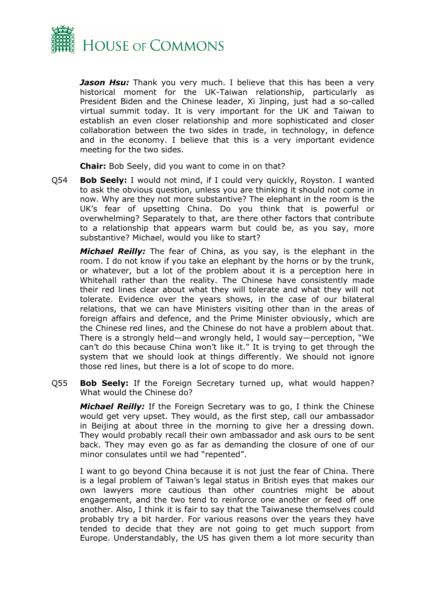

*Jason Hsu:* Thank you very much. I believe that this has been a very historical moment for the UK-Taiwan relationship, particularly as President Biden and the Chinese leader, Xi Jinping, just had a so-called virtual summit today. It is very important for the UK and Taiwan to establish an even closer relationship and more sophisticated and closer collaboration between the two sides in trade, in technology, in defence and in the economy. I believe that this is a very important evidence meeting for the two sides.

**Chair:** Bob Seely, did you want to come in on that?

Q54 **Bob Seely:** I would not mind, if I could very quickly, Royston. I wanted to ask the obvious question, unless you are thinking it should not come in now. Why are they not more substantive? The elephant in the room is the UK's fear of upsetting China. Do you think that is powerful or overwhelming? Separately to that, are there other factors that contribute to a relationship that appears warm but could be, as you say, more substantive? Michael, would you like to start?

*Michael Reilly:* The fear of China, as you say, is the elephant in the room. I do not know if you take an elephant by the horns or by the trunk, or whatever, but a lot of the problem about it is a perception here in Whitehall rather than the reality. The Chinese have consistently made their red lines clear about what they will tolerate and what they will not tolerate. Evidence over the years shows, in the case of our bilateral relations, that we can have Ministers visiting other than in the areas of foreign affairs and defence, and the Prime Minister obviously, which are the Chinese red lines, and the Chinese do not have a problem about that. There is a strongly held—and wrongly held, I would say—perception, "We can't do this because China won't like it." It is trying to get through the system that we should look at things differently. We should not ignore those red lines, but there is a lot of scope to do more.

Q55 **Bob Seely:** If the Foreign Secretary turned up, what would happen? What would the Chinese do?

*Michael Reilly:* If the Foreign Secretary was to go, I think the Chinese would get very upset. They would, as the first step, call our ambassador in Beijing at about three in the morning to give her a dressing down. They would probably recall their own ambassador and ask ours to be sent back. They may even go as far as demanding the closure of one of our minor consulates until we had "repented".

I want to go beyond China because it is not just the fear of China. There is a legal problem of Taiwan's legal status in British eyes that makes our own lawyers more cautious than other countries might be about engagement, and the two tend to reinforce one another or feed off one another. Also, I think it is fair to say that the Taiwanese themselves could probably try a bit harder. For various reasons over the years they have tended to decide that they are not going to get much support from Europe. Understandably, the US has given them a lot more security than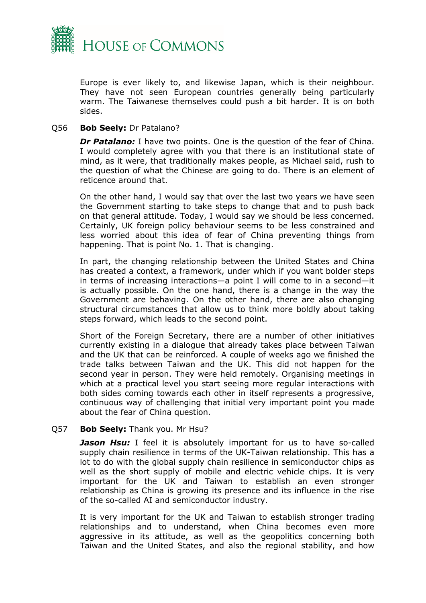

Europe is ever likely to, and likewise Japan, which is their neighbour. They have not seen European countries generally being particularly warm. The Taiwanese themselves could push a bit harder. It is on both sides.

#### Q56 **Bob Seely:** Dr Patalano?

*Dr Patalano:* I have two points. One is the question of the fear of China. I would completely agree with you that there is an institutional state of mind, as it were, that traditionally makes people, as Michael said, rush to the question of what the Chinese are going to do. There is an element of reticence around that.

On the other hand, I would say that over the last two years we have seen the Government starting to take steps to change that and to push back on that general attitude. Today, I would say we should be less concerned. Certainly, UK foreign policy behaviour seems to be less constrained and less worried about this idea of fear of China preventing things from happening. That is point No. 1. That is changing.

In part, the changing relationship between the United States and China has created a context, a framework, under which if you want bolder steps in terms of increasing interactions—a point I will come to in a second—it is actually possible. On the one hand, there is a change in the way the Government are behaving. On the other hand, there are also changing structural circumstances that allow us to think more boldly about taking steps forward, which leads to the second point.

Short of the Foreign Secretary, there are a number of other initiatives currently existing in a dialogue that already takes place between Taiwan and the UK that can be reinforced. A couple of weeks ago we finished the trade talks between Taiwan and the UK. This did not happen for the second year in person. They were held remotely. Organising meetings in which at a practical level you start seeing more regular interactions with both sides coming towards each other in itself represents a progressive, continuous way of challenging that initial very important point you made about the fear of China question.

#### Q57 **Bob Seely:** Thank you. Mr Hsu?

**Jason Hsu:** I feel it is absolutely important for us to have so-called supply chain resilience in terms of the UK-Taiwan relationship. This has a lot to do with the global supply chain resilience in semiconductor chips as well as the short supply of mobile and electric vehicle chips. It is very important for the UK and Taiwan to establish an even stronger relationship as China is growing its presence and its influence in the rise of the so-called AI and semiconductor industry.

It is very important for the UK and Taiwan to establish stronger trading relationships and to understand, when China becomes even more aggressive in its attitude, as well as the geopolitics concerning both Taiwan and the United States, and also the regional stability, and how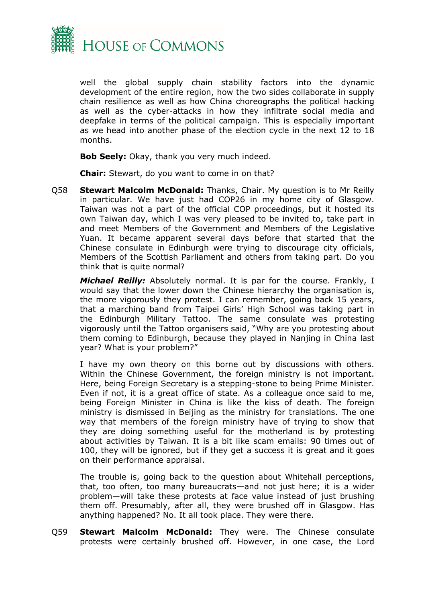

well the global supply chain stability factors into the dynamic development of the entire region, how the two sides collaborate in supply chain resilience as well as how China choreographs the political hacking as well as the cyber-attacks in how they infiltrate social media and deepfake in terms of the political campaign. This is especially important as we head into another phase of the election cycle in the next 12 to 18 months.

**Bob Seely:** Okay, thank you very much indeed.

**Chair:** Stewart, do you want to come in on that?

Q58 **Stewart Malcolm McDonald:** Thanks, Chair. My question is to Mr Reilly in particular. We have just had COP26 in my home city of Glasgow. Taiwan was not a part of the official COP proceedings, but it hosted its own Taiwan day, which I was very pleased to be invited to, take part in and meet Members of the Government and Members of the Legislative Yuan. It became apparent several days before that started that the Chinese consulate in Edinburgh were trying to discourage city officials, Members of the Scottish Parliament and others from taking part. Do you think that is quite normal?

*Michael Reilly:* Absolutely normal. It is par for the course. Frankly, I would say that the lower down the Chinese hierarchy the organisation is, the more vigorously they protest. I can remember, going back 15 years, that a marching band from Taipei Girls' High School was taking part in the Edinburgh Military Tattoo. The same consulate was protesting vigorously until the Tattoo organisers said, "Why are you protesting about them coming to Edinburgh, because they played in Nanjing in China last year? What is your problem?"

I have my own theory on this borne out by discussions with others. Within the Chinese Government, the foreign ministry is not important. Here, being Foreign Secretary is a stepping-stone to being Prime Minister. Even if not, it is a great office of state. As a colleague once said to me, being Foreign Minister in China is like the kiss of death. The foreign ministry is dismissed in Beijing as the ministry for translations. The one way that members of the foreign ministry have of trying to show that they are doing something useful for the motherland is by protesting about activities by Taiwan. It is a bit like scam emails: 90 times out of 100, they will be ignored, but if they get a success it is great and it goes on their performance appraisal.

The trouble is, going back to the question about Whitehall perceptions, that, too often, too many bureaucrats—and not just here; it is a wider problem—will take these protests at face value instead of just brushing them off. Presumably, after all, they were brushed off in Glasgow. Has anything happened? No. It all took place. They were there.

Q59 **Stewart Malcolm McDonald:** They were. The Chinese consulate protests were certainly brushed off. However, in one case, the Lord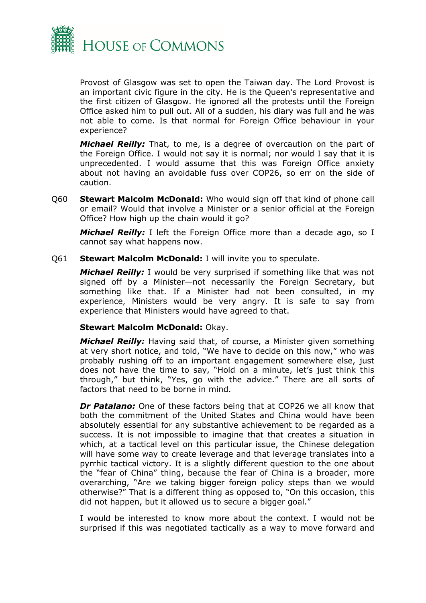

Provost of Glasgow was set to open the Taiwan day. The Lord Provost is an important civic figure in the city. He is the Queen's representative and the first citizen of Glasgow. He ignored all the protests until the Foreign Office asked him to pull out. All of a sudden, his diary was full and he was not able to come. Is that normal for Foreign Office behaviour in your experience?

*Michael Reilly:* That, to me, is a degree of overcaution on the part of the Foreign Office. I would not say it is normal; nor would I say that it is unprecedented. I would assume that this was Foreign Office anxiety about not having an avoidable fuss over COP26, so err on the side of caution.

Q60 **Stewart Malcolm McDonald:** Who would sign off that kind of phone call or email? Would that involve a Minister or a senior official at the Foreign Office? How high up the chain would it go?

*Michael Reilly:* I left the Foreign Office more than a decade ago, so I cannot say what happens now.

Q61 **Stewart Malcolm McDonald:** I will invite you to speculate.

*Michael Reilly:* I would be very surprised if something like that was not signed off by a Minister—not necessarily the Foreign Secretary, but something like that. If a Minister had not been consulted, in my experience, Ministers would be very angry. It is safe to say from experience that Ministers would have agreed to that.

#### **Stewart Malcolm McDonald:** Okay.

*Michael Reilly:* Having said that, of course, a Minister given something at very short notice, and told, "We have to decide on this now," who was probably rushing off to an important engagement somewhere else, just does not have the time to say, "Hold on a minute, let's just think this through," but think, "Yes, go with the advice." There are all sorts of factors that need to be borne in mind.

*Dr Patalano:* One of these factors being that at COP26 we all know that both the commitment of the United States and China would have been absolutely essential for any substantive achievement to be regarded as a success. It is not impossible to imagine that that creates a situation in which, at a tactical level on this particular issue, the Chinese delegation will have some way to create leverage and that leverage translates into a pyrrhic tactical victory. It is a slightly different question to the one about the "fear of China" thing, because the fear of China is a broader, more overarching, "Are we taking bigger foreign policy steps than we would otherwise?" That is a different thing as opposed to, "On this occasion, this did not happen, but it allowed us to secure a bigger goal."

I would be interested to know more about the context. I would not be surprised if this was negotiated tactically as a way to move forward and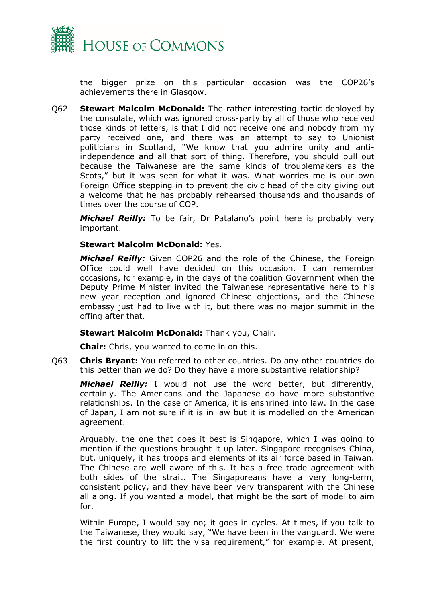

the bigger prize on this particular occasion was the COP26's achievements there in Glasgow.

Q62 **Stewart Malcolm McDonald:** The rather interesting tactic deployed by the consulate, which was ignored cross-party by all of those who received those kinds of letters, is that I did not receive one and nobody from my party received one, and there was an attempt to say to Unionist politicians in Scotland, "We know that you admire unity and antiindependence and all that sort of thing. Therefore, you should pull out because the Taiwanese are the same kinds of troublemakers as the Scots," but it was seen for what it was. What worries me is our own Foreign Office stepping in to prevent the civic head of the city giving out a welcome that he has probably rehearsed thousands and thousands of times over the course of COP.

*Michael Reilly:* To be fair, Dr Patalano's point here is probably very important.

#### **Stewart Malcolm McDonald:** Yes.

*Michael Reilly:* Given COP26 and the role of the Chinese, the Foreign Office could well have decided on this occasion. I can remember occasions, for example, in the days of the coalition Government when the Deputy Prime Minister invited the Taiwanese representative here to his new year reception and ignored Chinese objections, and the Chinese embassy just had to live with it, but there was no major summit in the offing after that.

#### **Stewart Malcolm McDonald:** Thank you, Chair.

**Chair:** Chris, you wanted to come in on this.

Q63 **Chris Bryant:** You referred to other countries. Do any other countries do this better than we do? Do they have a more substantive relationship?

*Michael Reilly:* I would not use the word better, but differently, certainly. The Americans and the Japanese do have more substantive relationships. In the case of America, it is enshrined into law. In the case of Japan, I am not sure if it is in law but it is modelled on the American agreement.

Arguably, the one that does it best is Singapore, which I was going to mention if the questions brought it up later. Singapore recognises China, but, uniquely, it has troops and elements of its air force based in Taiwan. The Chinese are well aware of this. It has a free trade agreement with both sides of the strait. The Singaporeans have a very long-term, consistent policy, and they have been very transparent with the Chinese all along. If you wanted a model, that might be the sort of model to aim for.

Within Europe, I would say no; it goes in cycles. At times, if you talk to the Taiwanese, they would say, "We have been in the vanguard. We were the first country to lift the visa requirement," for example. At present,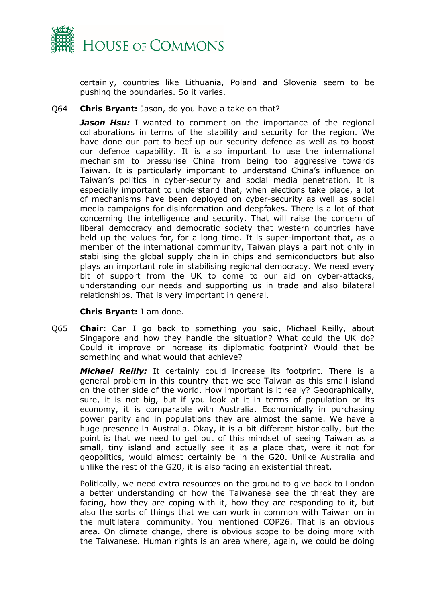

certainly, countries like Lithuania, Poland and Slovenia seem to be pushing the boundaries. So it varies.

#### Q64 **Chris Bryant:** Jason, do you have a take on that?

*Jason Hsu:* I wanted to comment on the importance of the regional collaborations in terms of the stability and security for the region. We have done our part to beef up our security defence as well as to boost our defence capability. It is also important to use the international mechanism to pressurise China from being too aggressive towards Taiwan. It is particularly important to understand China's influence on Taiwan's politics in cyber-security and social media penetration. It is especially important to understand that, when elections take place, a lot of mechanisms have been deployed on cyber-security as well as social media campaigns for disinformation and deepfakes. There is a lot of that concerning the intelligence and security. That will raise the concern of liberal democracy and democratic society that western countries have held up the values for, for a long time. It is super-important that, as a member of the international community, Taiwan plays a part not only in stabilising the global supply chain in chips and semiconductors but also plays an important role in stabilising regional democracy. We need every bit of support from the UK to come to our aid on cyber-attacks, understanding our needs and supporting us in trade and also bilateral relationships. That is very important in general.

#### **Chris Bryant:** I am done.

Q65 **Chair:** Can I go back to something you said, Michael Reilly, about Singapore and how they handle the situation? What could the UK do? Could it improve or increase its diplomatic footprint? Would that be something and what would that achieve?

*Michael Reilly:* It certainly could increase its footprint. There is a general problem in this country that we see Taiwan as this small island on the other side of the world. How important is it really? Geographically, sure, it is not big, but if you look at it in terms of population or its economy, it is comparable with Australia. Economically in purchasing power parity and in populations they are almost the same. We have a huge presence in Australia. Okay, it is a bit different historically, but the point is that we need to get out of this mindset of seeing Taiwan as a small, tiny island and actually see it as a place that, were it not for geopolitics, would almost certainly be in the G20. Unlike Australia and unlike the rest of the G20, it is also facing an existential threat.

Politically, we need extra resources on the ground to give back to London a better understanding of how the Taiwanese see the threat they are facing, how they are coping with it, how they are responding to it, but also the sorts of things that we can work in common with Taiwan on in the multilateral community. You mentioned COP26. That is an obvious area. On climate change, there is obvious scope to be doing more with the Taiwanese. Human rights is an area where, again, we could be doing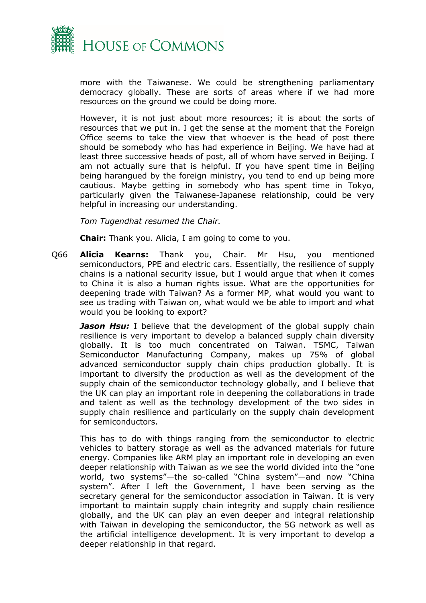

more with the Taiwanese. We could be strengthening parliamentary democracy globally. These are sorts of areas where if we had more resources on the ground we could be doing more.

However, it is not just about more resources; it is about the sorts of resources that we put in. I get the sense at the moment that the Foreign Office seems to take the view that whoever is the head of post there should be somebody who has had experience in Beijing. We have had at least three successive heads of post, all of whom have served in Beijing. I am not actually sure that is helpful. If you have spent time in Beijing being harangued by the foreign ministry, you tend to end up being more cautious. Maybe getting in somebody who has spent time in Tokyo, particularly given the Taiwanese-Japanese relationship, could be very helpful in increasing our understanding.

*Tom Tugendhat resumed the Chair.*

**Chair:** Thank you. Alicia, I am going to come to you.

Q66 **Alicia Kearns:** Thank you, Chair. Mr Hsu, you mentioned semiconductors, PPE and electric cars. Essentially, the resilience of supply chains is a national security issue, but I would argue that when it comes to China it is also a human rights issue. What are the opportunities for deepening trade with Taiwan? As a former MP, what would you want to see us trading with Taiwan on, what would we be able to import and what would you be looking to export?

*Jason Hsu:* I believe that the development of the global supply chain resilience is very important to develop a balanced supply chain diversity globally. It is too much concentrated on Taiwan. TSMC, Taiwan Semiconductor Manufacturing Company, makes up 75% of global advanced semiconductor supply chain chips production globally. It is important to diversify the production as well as the development of the supply chain of the semiconductor technology globally, and I believe that the UK can play an important role in deepening the collaborations in trade and talent as well as the technology development of the two sides in supply chain resilience and particularly on the supply chain development for semiconductors.

This has to do with things ranging from the semiconductor to electric vehicles to battery storage as well as the advanced materials for future energy. Companies like ARM play an important role in developing an even deeper relationship with Taiwan as we see the world divided into the "one world, two systems"—the so-called "China system"—and now "China system". After I left the Government, I have been serving as the secretary general for the semiconductor association in Taiwan. It is very important to maintain supply chain integrity and supply chain resilience globally, and the UK can play an even deeper and integral relationship with Taiwan in developing the semiconductor, the 5G network as well as the artificial intelligence development. It is very important to develop a deeper relationship in that regard.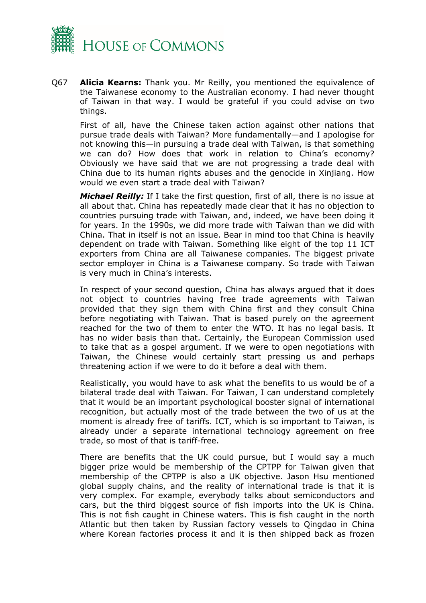

Q67 **Alicia Kearns:** Thank you. Mr Reilly, you mentioned the equivalence of the Taiwanese economy to the Australian economy. I had never thought of Taiwan in that way. I would be grateful if you could advise on two things.

First of all, have the Chinese taken action against other nations that pursue trade deals with Taiwan? More fundamentally—and I apologise for not knowing this—in pursuing a trade deal with Taiwan, is that something we can do? How does that work in relation to China's economy? Obviously we have said that we are not progressing a trade deal with China due to its human rights abuses and the genocide in Xinjiang. How would we even start a trade deal with Taiwan?

*Michael Reilly:* If I take the first question, first of all, there is no issue at all about that. China has repeatedly made clear that it has no objection to countries pursuing trade with Taiwan, and, indeed, we have been doing it for years. In the 1990s, we did more trade with Taiwan than we did with China. That in itself is not an issue. Bear in mind too that China is heavily dependent on trade with Taiwan. Something like eight of the top 11 ICT exporters from China are all Taiwanese companies. The biggest private sector employer in China is a Taiwanese company. So trade with Taiwan is very much in China's interests.

In respect of your second question, China has always argued that it does not object to countries having free trade agreements with Taiwan provided that they sign them with China first and they consult China before negotiating with Taiwan. That is based purely on the agreement reached for the two of them to enter the WTO. It has no legal basis. It has no wider basis than that. Certainly, the European Commission used to take that as a gospel argument. If we were to open negotiations with Taiwan, the Chinese would certainly start pressing us and perhaps threatening action if we were to do it before a deal with them.

Realistically, you would have to ask what the benefits to us would be of a bilateral trade deal with Taiwan. For Taiwan, I can understand completely that it would be an important psychological booster signal of international recognition, but actually most of the trade between the two of us at the moment is already free of tariffs. ICT, which is so important to Taiwan, is already under a separate international technology agreement on free trade, so most of that is tariff-free.

There are benefits that the UK could pursue, but I would say a much bigger prize would be membership of the CPTPP for Taiwan given that membership of the CPTPP is also a UK objective. Jason Hsu mentioned global supply chains, and the reality of international trade is that it is very complex. For example, everybody talks about semiconductors and cars, but the third biggest source of fish imports into the UK is China. This is not fish caught in Chinese waters. This is fish caught in the north Atlantic but then taken by Russian factory vessels to Qingdao in China where Korean factories process it and it is then shipped back as frozen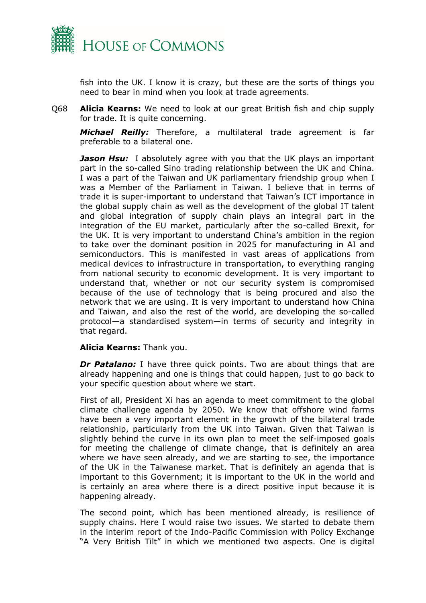

fish into the UK. I know it is crazy, but these are the sorts of things you need to bear in mind when you look at trade agreements.

Q68 **Alicia Kearns:** We need to look at our great British fish and chip supply for trade. It is quite concerning.

*Michael Reilly:* Therefore, a multilateral trade agreement is far preferable to a bilateral one.

*Jason Hsu:* I absolutely agree with you that the UK plays an important part in the so-called Sino trading relationship between the UK and China. I was a part of the Taiwan and UK parliamentary friendship group when I was a Member of the Parliament in Taiwan. I believe that in terms of trade it is super-important to understand that Taiwan's ICT importance in the global supply chain as well as the development of the global IT talent and global integration of supply chain plays an integral part in the integration of the EU market, particularly after the so-called Brexit, for the UK. It is very important to understand China's ambition in the region to take over the dominant position in 2025 for manufacturing in AI and semiconductors. This is manifested in vast areas of applications from medical devices to infrastructure in transportation, to everything ranging from national security to economic development. It is very important to understand that, whether or not our security system is compromised because of the use of technology that is being procured and also the network that we are using. It is very important to understand how China and Taiwan, and also the rest of the world, are developing the so-called protocol—a standardised system—in terms of security and integrity in that regard.

#### **Alicia Kearns:** Thank you.

*Dr Patalano:* I have three quick points. Two are about things that are already happening and one is things that could happen, just to go back to your specific question about where we start.

First of all, President Xi has an agenda to meet commitment to the global climate challenge agenda by 2050. We know that offshore wind farms have been a very important element in the growth of the bilateral trade relationship, particularly from the UK into Taiwan. Given that Taiwan is slightly behind the curve in its own plan to meet the self-imposed goals for meeting the challenge of climate change, that is definitely an area where we have seen already, and we are starting to see, the importance of the UK in the Taiwanese market. That is definitely an agenda that is important to this Government; it is important to the UK in the world and is certainly an area where there is a direct positive input because it is happening already.

The second point, which has been mentioned already, is resilience of supply chains. Here I would raise two issues. We started to debate them in the interim report of the Indo-Pacific Commission with Policy Exchange "A Very British Tilt" in which we mentioned two aspects. One is digital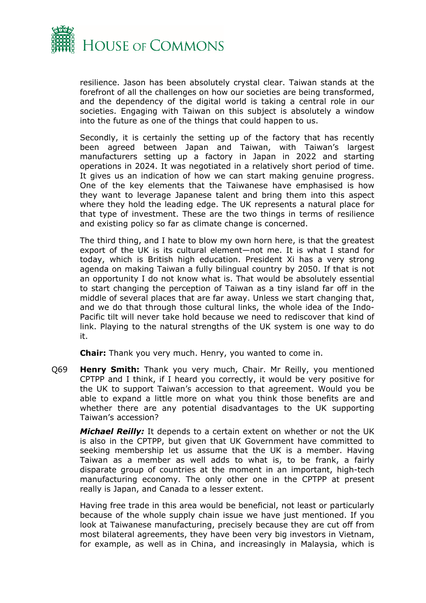

resilience. Jason has been absolutely crystal clear. Taiwan stands at the forefront of all the challenges on how our societies are being transformed, and the dependency of the digital world is taking a central role in our societies. Engaging with Taiwan on this subject is absolutely a window into the future as one of the things that could happen to us.

Secondly, it is certainly the setting up of the factory that has recently been agreed between Japan and Taiwan, with Taiwan's largest manufacturers setting up a factory in Japan in 2022 and starting operations in 2024. It was negotiated in a relatively short period of time. It gives us an indication of how we can start making genuine progress. One of the key elements that the Taiwanese have emphasised is how they want to leverage Japanese talent and bring them into this aspect where they hold the leading edge. The UK represents a natural place for that type of investment. These are the two things in terms of resilience and existing policy so far as climate change is concerned.

The third thing, and I hate to blow my own horn here, is that the greatest export of the UK is its cultural element—not me. It is what I stand for today, which is British high education. President Xi has a very strong agenda on making Taiwan a fully bilingual country by 2050. If that is not an opportunity I do not know what is. That would be absolutely essential to start changing the perception of Taiwan as a tiny island far off in the middle of several places that are far away. Unless we start changing that, and we do that through those cultural links, the whole idea of the Indo-Pacific tilt will never take hold because we need to rediscover that kind of link. Playing to the natural strengths of the UK system is one way to do it.

**Chair:** Thank you very much. Henry, you wanted to come in.

Q69 **Henry Smith:** Thank you very much, Chair. Mr Reilly, you mentioned CPTPP and I think, if I heard you correctly, it would be very positive for the UK to support Taiwan's accession to that agreement. Would you be able to expand a little more on what you think those benefits are and whether there are any potential disadvantages to the UK supporting Taiwan's accession?

*Michael Reilly:* It depends to a certain extent on whether or not the UK is also in the CPTPP, but given that UK Government have committed to seeking membership let us assume that the UK is a member. Having Taiwan as a member as well adds to what is, to be frank, a fairly disparate group of countries at the moment in an important, high-tech manufacturing economy. The only other one in the CPTPP at present really is Japan, and Canada to a lesser extent.

Having free trade in this area would be beneficial, not least or particularly because of the whole supply chain issue we have just mentioned. If you look at Taiwanese manufacturing, precisely because they are cut off from most bilateral agreements, they have been very big investors in Vietnam, for example, as well as in China, and increasingly in Malaysia, which is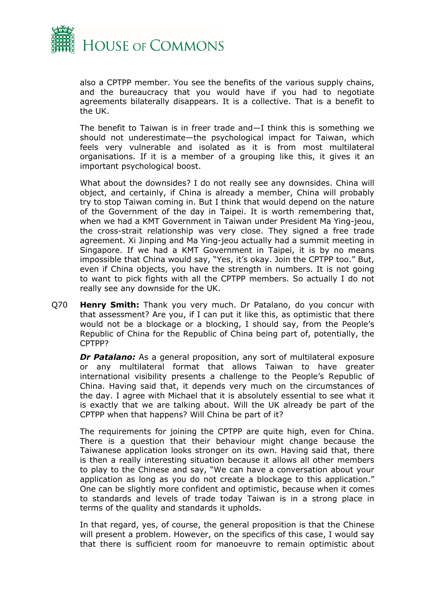

also a CPTPP member. You see the benefits of the various supply chains, and the bureaucracy that you would have if you had to negotiate agreements bilaterally disappears. It is a collective. That is a benefit to the UK.

The benefit to Taiwan is in freer trade and—I think this is something we should not underestimate—the psychological impact for Taiwan, which feels very vulnerable and isolated as it is from most multilateral organisations. If it is a member of a grouping like this, it gives it an important psychological boost.

What about the downsides? I do not really see any downsides. China will object, and certainly, if China is already a member, China will probably try to stop Taiwan coming in. But I think that would depend on the nature of the Government of the day in Taipei. It is worth remembering that, when we had a KMT Government in Taiwan under President Ma Ying-jeou, the cross-strait relationship was very close. They signed a free trade agreement. Xi Jinping and Ma Ying-jeou actually had a summit meeting in Singapore. If we had a KMT Government in Taipei, it is by no means impossible that China would say, "Yes, it's okay. Join the CPTPP too." But, even if China objects, you have the strength in numbers. It is not going to want to pick fights with all the CPTPP members. So actually I do not really see any downside for the UK.

Q70 **Henry Smith:** Thank you very much. Dr Patalano, do you concur with that assessment? Are you, if I can put it like this, as optimistic that there would not be a blockage or a blocking, I should say, from the People's Republic of China for the Republic of China being part of, potentially, the CPTPP?

*Dr Patalano:* As a general proposition, any sort of multilateral exposure or any multilateral format that allows Taiwan to have greater international visibility presents a challenge to the People's Republic of China. Having said that, it depends very much on the circumstances of the day. I agree with Michael that it is absolutely essential to see what it is exactly that we are talking about. Will the UK already be part of the CPTPP when that happens? Will China be part of it?

The requirements for joining the CPTPP are quite high, even for China. There is a question that their behaviour might change because the Taiwanese application looks stronger on its own. Having said that, there is then a really interesting situation because it allows all other members to play to the Chinese and say, "We can have a conversation about your application as long as you do not create a blockage to this application." One can be slightly more confident and optimistic, because when it comes to standards and levels of trade today Taiwan is in a strong place in terms of the quality and standards it upholds.

In that regard, yes, of course, the general proposition is that the Chinese will present a problem. However, on the specifics of this case, I would say that there is sufficient room for manoeuvre to remain optimistic about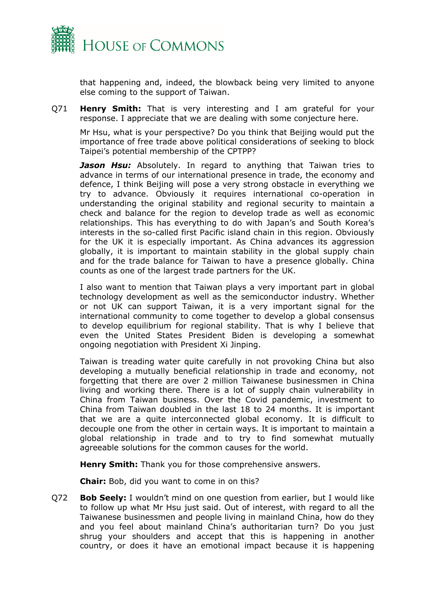

that happening and, indeed, the blowback being very limited to anyone else coming to the support of Taiwan.

Q71 **Henry Smith:** That is very interesting and I am grateful for your response. I appreciate that we are dealing with some conjecture here.

Mr Hsu, what is your perspective? Do you think that Beijing would put the importance of free trade above political considerations of seeking to block Taipei's potential membership of the CPTPP?

*Jason Hsu:* Absolutely. In regard to anything that Taiwan tries to advance in terms of our international presence in trade, the economy and defence, I think Beijing will pose a very strong obstacle in everything we try to advance. Obviously it requires international co-operation in understanding the original stability and regional security to maintain a check and balance for the region to develop trade as well as economic relationships. This has everything to do with Japan's and South Korea's interests in the so-called first Pacific island chain in this region. Obviously for the UK it is especially important. As China advances its aggression globally, it is important to maintain stability in the global supply chain and for the trade balance for Taiwan to have a presence globally. China counts as one of the largest trade partners for the UK.

I also want to mention that Taiwan plays a very important part in global technology development as well as the semiconductor industry. Whether or not UK can support Taiwan, it is a very important signal for the international community to come together to develop a global consensus to develop equilibrium for regional stability. That is why I believe that even the United States President Biden is developing a somewhat ongoing negotiation with President Xi Jinping.

Taiwan is treading water quite carefully in not provoking China but also developing a mutually beneficial relationship in trade and economy, not forgetting that there are over 2 million Taiwanese businessmen in China living and working there. There is a lot of supply chain vulnerability in China from Taiwan business. Over the Covid pandemic, investment to China from Taiwan doubled in the last 18 to 24 months. It is important that we are a quite interconnected global economy. It is difficult to decouple one from the other in certain ways. It is important to maintain a global relationship in trade and to try to find somewhat mutually agreeable solutions for the common causes for the world.

**Henry Smith:** Thank you for those comprehensive answers.

**Chair:** Bob, did you want to come in on this?

Q72 **Bob Seely:** I wouldn't mind on one question from earlier, but I would like to follow up what Mr Hsu just said. Out of interest, with regard to all the Taiwanese businessmen and people living in mainland China, how do they and you feel about mainland China's authoritarian turn? Do you just shrug your shoulders and accept that this is happening in another country, or does it have an emotional impact because it is happening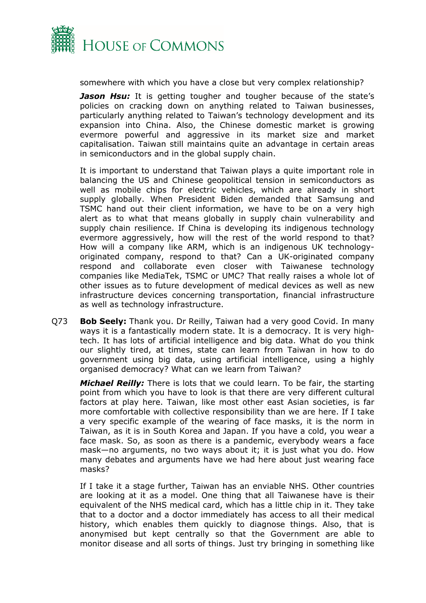

somewhere with which you have a close but very complex relationship?

**Jason Hsu:** It is getting tougher and tougher because of the state's policies on cracking down on anything related to Taiwan businesses, particularly anything related to Taiwan's technology development and its expansion into China. Also, the Chinese domestic market is growing evermore powerful and aggressive in its market size and market capitalisation. Taiwan still maintains quite an advantage in certain areas in semiconductors and in the global supply chain.

It is important to understand that Taiwan plays a quite important role in balancing the US and Chinese geopolitical tension in semiconductors as well as mobile chips for electric vehicles, which are already in short supply globally. When President Biden demanded that Samsung and TSMC hand out their client information, we have to be on a very high alert as to what that means globally in supply chain vulnerability and supply chain resilience. If China is developing its indigenous technology evermore aggressively, how will the rest of the world respond to that? How will a company like ARM, which is an indigenous UK technologyoriginated company, respond to that? Can a UK-originated company respond and collaborate even closer with Taiwanese technology companies like MediaTek, TSMC or UMC? That really raises a whole lot of other issues as to future development of medical devices as well as new infrastructure devices concerning transportation, financial infrastructure as well as technology infrastructure.

Q73 **Bob Seely:** Thank you. Dr Reilly, Taiwan had a very good Covid. In many ways it is a fantastically modern state. It is a democracy. It is very hightech. It has lots of artificial intelligence and big data. What do you think our slightly tired, at times, state can learn from Taiwan in how to do government using big data, using artificial intelligence, using a highly organised democracy? What can we learn from Taiwan?

*Michael Reilly:* There is lots that we could learn. To be fair, the starting point from which you have to look is that there are very different cultural factors at play here. Taiwan, like most other east Asian societies, is far more comfortable with collective responsibility than we are here. If I take a very specific example of the wearing of face masks, it is the norm in Taiwan, as it is in South Korea and Japan. If you have a cold, you wear a face mask. So, as soon as there is a pandemic, everybody wears a face mask—no arguments, no two ways about it; it is just what you do. How many debates and arguments have we had here about just wearing face masks?

If I take it a stage further, Taiwan has an enviable NHS. Other countries are looking at it as a model. One thing that all Taiwanese have is their equivalent of the NHS medical card, which has a little chip in it. They take that to a doctor and a doctor immediately has access to all their medical history, which enables them quickly to diagnose things. Also, that is anonymised but kept centrally so that the Government are able to monitor disease and all sorts of things. Just try bringing in something like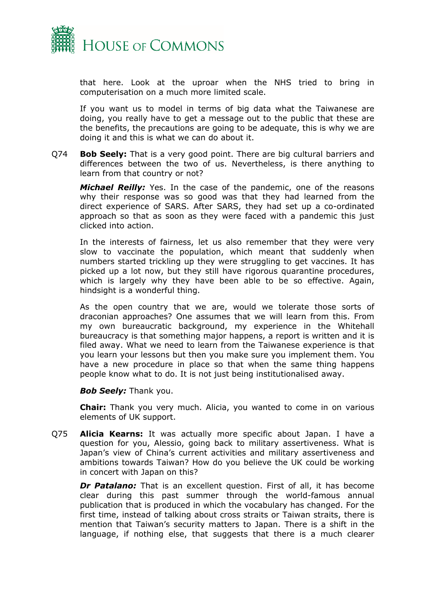

that here. Look at the uproar when the NHS tried to bring in computerisation on a much more limited scale.

If you want us to model in terms of big data what the Taiwanese are doing, you really have to get a message out to the public that these are the benefits, the precautions are going to be adequate, this is why we are doing it and this is what we can do about it.

Q74 **Bob Seely:** That is a very good point. There are big cultural barriers and differences between the two of us. Nevertheless, is there anything to learn from that country or not?

*Michael Reilly:* Yes. In the case of the pandemic, one of the reasons why their response was so good was that they had learned from the direct experience of SARS. After SARS, they had set up a co-ordinated approach so that as soon as they were faced with a pandemic this just clicked into action.

In the interests of fairness, let us also remember that they were very slow to vaccinate the population, which meant that suddenly when numbers started trickling up they were struggling to get vaccines. It has picked up a lot now, but they still have rigorous quarantine procedures, which is largely why they have been able to be so effective. Again, hindsight is a wonderful thing.

As the open country that we are, would we tolerate those sorts of draconian approaches? One assumes that we will learn from this. From my own bureaucratic background, my experience in the Whitehall bureaucracy is that something major happens, a report is written and it is filed away. What we need to learn from the Taiwanese experience is that you learn your lessons but then you make sure you implement them. You have a new procedure in place so that when the same thing happens people know what to do. It is not just being institutionalised away.

**Bob Seely:** Thank you.

**Chair:** Thank you very much. Alicia, you wanted to come in on various elements of UK support.

Q75 **Alicia Kearns:** It was actually more specific about Japan. I have a question for you, Alessio, going back to military assertiveness. What is Japan's view of China's current activities and military assertiveness and ambitions towards Taiwan? How do you believe the UK could be working in concert with Japan on this?

*Dr Patalano:* That is an excellent question. First of all, it has become clear during this past summer through the world-famous annual publication that is produced in which the vocabulary has changed. For the first time, instead of talking about cross straits or Taiwan straits, there is mention that Taiwan's security matters to Japan. There is a shift in the language, if nothing else, that suggests that there is a much clearer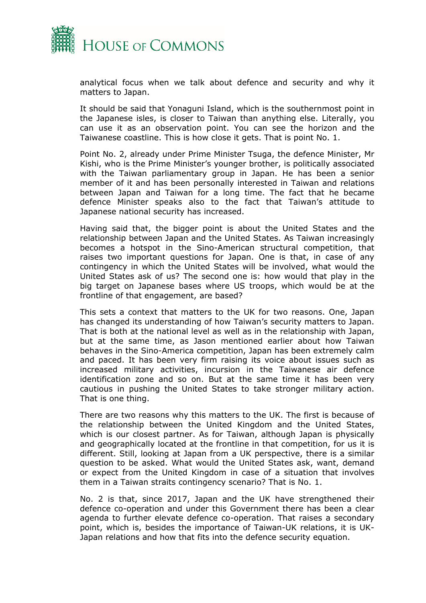

analytical focus when we talk about defence and security and why it matters to Japan.

It should be said that Yonaguni Island, which is the southernmost point in the Japanese isles, is closer to Taiwan than anything else. Literally, you can use it as an observation point. You can see the horizon and the Taiwanese coastline. This is how close it gets. That is point No. 1.

Point No. 2, already under Prime Minister Tsuga, the defence Minister, Mr Kishi, who is the Prime Minister's younger brother, is politically associated with the Taiwan parliamentary group in Japan. He has been a senior member of it and has been personally interested in Taiwan and relations between Japan and Taiwan for a long time. The fact that he became defence Minister speaks also to the fact that Taiwan's attitude to Japanese national security has increased.

Having said that, the bigger point is about the United States and the relationship between Japan and the United States. As Taiwan increasingly becomes a hotspot in the Sino-American structural competition, that raises two important questions for Japan. One is that, in case of any contingency in which the United States will be involved, what would the United States ask of us? The second one is: how would that play in the big target on Japanese bases where US troops, which would be at the frontline of that engagement, are based?

This sets a context that matters to the UK for two reasons. One, Japan has changed its understanding of how Taiwan's security matters to Japan. That is both at the national level as well as in the relationship with Japan, but at the same time, as Jason mentioned earlier about how Taiwan behaves in the Sino-America competition, Japan has been extremely calm and paced. It has been very firm raising its voice about issues such as increased military activities, incursion in the Taiwanese air defence identification zone and so on. But at the same time it has been very cautious in pushing the United States to take stronger military action. That is one thing.

There are two reasons why this matters to the UK. The first is because of the relationship between the United Kingdom and the United States, which is our closest partner. As for Taiwan, although Japan is physically and geographically located at the frontline in that competition, for us it is different. Still, looking at Japan from a UK perspective, there is a similar question to be asked. What would the United States ask, want, demand or expect from the United Kingdom in case of a situation that involves them in a Taiwan straits contingency scenario? That is No. 1.

No. 2 is that, since 2017, Japan and the UK have strengthened their defence co-operation and under this Government there has been a clear agenda to further elevate defence co-operation. That raises a secondary point, which is, besides the importance of Taiwan-UK relations, it is UK-Japan relations and how that fits into the defence security equation.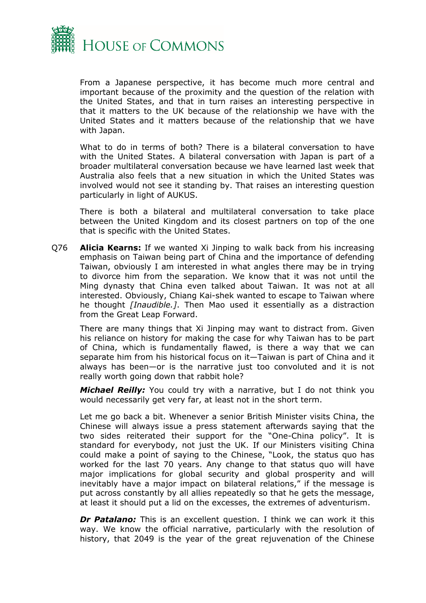

From a Japanese perspective, it has become much more central and important because of the proximity and the question of the relation with the United States, and that in turn raises an interesting perspective in that it matters to the UK because of the relationship we have with the United States and it matters because of the relationship that we have with Japan.

What to do in terms of both? There is a bilateral conversation to have with the United States. A bilateral conversation with Japan is part of a broader multilateral conversation because we have learned last week that Australia also feels that a new situation in which the United States was involved would not see it standing by. That raises an interesting question particularly in light of AUKUS.

There is both a bilateral and multilateral conversation to take place between the United Kingdom and its closest partners on top of the one that is specific with the United States.

Q76 **Alicia Kearns:** If we wanted Xi Jinping to walk back from his increasing emphasis on Taiwan being part of China and the importance of defending Taiwan, obviously I am interested in what angles there may be in trying to divorce him from the separation. We know that it was not until the Ming dynasty that China even talked about Taiwan. It was not at all interested. Obviously, Chiang Kai-shek wanted to escape to Taiwan where he thought *[Inaudible.]*. Then Mao used it essentially as a distraction from the Great Leap Forward.

There are many things that Xi Jinping may want to distract from. Given his reliance on history for making the case for why Taiwan has to be part of China, which is fundamentally flawed, is there a way that we can separate him from his historical focus on it—Taiwan is part of China and it always has been—or is the narrative just too convoluted and it is not really worth going down that rabbit hole?

*Michael Reilly:* You could try with a narrative, but I do not think you would necessarily get very far, at least not in the short term.

Let me go back a bit. Whenever a senior British Minister visits China, the Chinese will always issue a press statement afterwards saying that the two sides reiterated their support for the "One-China policy". It is standard for everybody, not just the UK. If our Ministers visiting China could make a point of saying to the Chinese, "Look, the status quo has worked for the last 70 years. Any change to that status quo will have major implications for global security and global prosperity and will inevitably have a major impact on bilateral relations," if the message is put across constantly by all allies repeatedly so that he gets the message, at least it should put a lid on the excesses, the extremes of adventurism.

*Dr Patalano:* This is an excellent question. I think we can work it this way. We know the official narrative, particularly with the resolution of history, that 2049 is the year of the great rejuvenation of the Chinese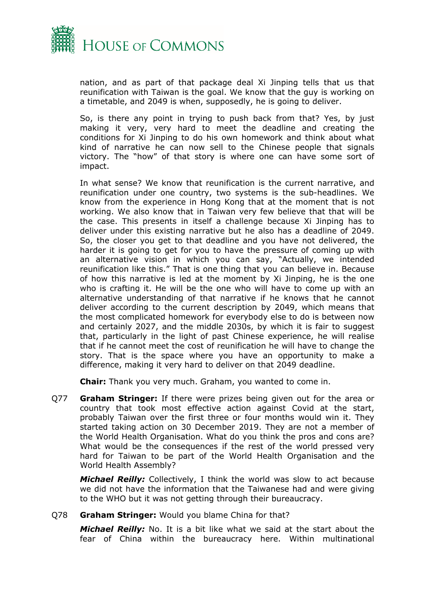

nation, and as part of that package deal Xi Jinping tells that us that reunification with Taiwan is the goal. We know that the guy is working on a timetable, and 2049 is when, supposedly, he is going to deliver.

So, is there any point in trying to push back from that? Yes, by just making it very, very hard to meet the deadline and creating the conditions for Xi Jinping to do his own homework and think about what kind of narrative he can now sell to the Chinese people that signals victory. The "how" of that story is where one can have some sort of impact.

In what sense? We know that reunification is the current narrative, and reunification under one country, two systems is the sub-headlines. We know from the experience in Hong Kong that at the moment that is not working. We also know that in Taiwan very few believe that that will be the case. This presents in itself a challenge because Xi Jinping has to deliver under this existing narrative but he also has a deadline of 2049. So, the closer you get to that deadline and you have not delivered, the harder it is going to get for you to have the pressure of coming up with an alternative vision in which you can say, "Actually, we intended reunification like this." That is one thing that you can believe in. Because of how this narrative is led at the moment by Xi Jinping, he is the one who is crafting it. He will be the one who will have to come up with an alternative understanding of that narrative if he knows that he cannot deliver according to the current description by 2049, which means that the most complicated homework for everybody else to do is between now and certainly 2027, and the middle 2030s, by which it is fair to suggest that, particularly in the light of past Chinese experience, he will realise that if he cannot meet the cost of reunification he will have to change the story. That is the space where you have an opportunity to make a difference, making it very hard to deliver on that 2049 deadline.

**Chair:** Thank you very much. Graham, you wanted to come in.

Q77 **Graham Stringer:** If there were prizes being given out for the area or country that took most effective action against Covid at the start, probably Taiwan over the first three or four months would win it. They started taking action on 30 December 2019. They are not a member of the World Health Organisation. What do you think the pros and cons are? What would be the consequences if the rest of the world pressed very hard for Taiwan to be part of the World Health Organisation and the World Health Assembly?

*Michael Reilly:* Collectively, I think the world was slow to act because we did not have the information that the Taiwanese had and were giving to the WHO but it was not getting through their bureaucracy.

#### Q78 **Graham Stringer:** Would you blame China for that?

*Michael Reilly:* No. It is a bit like what we said at the start about the fear of China within the bureaucracy here. Within multinational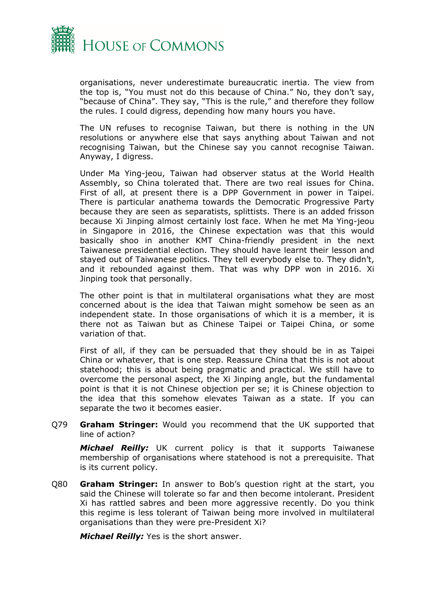

organisations, never underestimate bureaucratic inertia. The view from the top is, "You must not do this because of China." No, they don't say, "because of China". They say, "This is the rule," and therefore they follow the rules. I could digress, depending how many hours you have.

The UN refuses to recognise Taiwan, but there is nothing in the UN resolutions or anywhere else that says anything about Taiwan and not recognising Taiwan, but the Chinese say you cannot recognise Taiwan. Anyway, I digress.

Under Ma Ying-jeou, Taiwan had observer status at the World Health Assembly, so China tolerated that. There are two real issues for China. First of all, at present there is a DPP Government in power in Taipei. There is particular anathema towards the Democratic Progressive Party because they are seen as separatists, splittists. There is an added frisson because Xi Jinping almost certainly lost face. When he met Ma Ying-jeou in Singapore in 2016, the Chinese expectation was that this would basically shoo in another KMT China-friendly president in the next Taiwanese presidential election. They should have learnt their lesson and stayed out of Taiwanese politics. They tell everybody else to. They didn't, and it rebounded against them. That was why DPP won in 2016. Xi Jinping took that personally.

The other point is that in multilateral organisations what they are most concerned about is the idea that Taiwan might somehow be seen as an independent state. In those organisations of which it is a member, it is there not as Taiwan but as Chinese Taipei or Taipei China, or some variation of that.

First of all, if they can be persuaded that they should be in as Taipei China or whatever, that is one step. Reassure China that this is not about statehood; this is about being pragmatic and practical. We still have to overcome the personal aspect, the Xi Jinping angle, but the fundamental point is that it is not Chinese objection per se; it is Chinese objection to the idea that this somehow elevates Taiwan as a state. If you can separate the two it becomes easier.

Q79 **Graham Stringer:** Would you recommend that the UK supported that line of action?

*Michael Reilly:* UK current policy is that it supports Taiwanese membership of organisations where statehood is not a prerequisite. That is its current policy.

Q80 **Graham Stringer:** In answer to Bob's question right at the start, you said the Chinese will tolerate so far and then become intolerant. President Xi has rattled sabres and been more aggressive recently. Do you think this regime is less tolerant of Taiwan being more involved in multilateral organisations than they were pre-President Xi?

*Michael Reilly:* Yes is the short answer.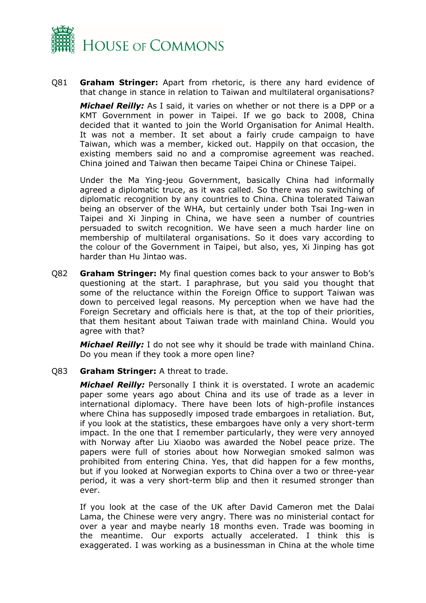

Q81 **Graham Stringer:** Apart from rhetoric, is there any hard evidence of that change in stance in relation to Taiwan and multilateral organisations?

*Michael Reilly:* As I said, it varies on whether or not there is a DPP or a KMT Government in power in Taipei. If we go back to 2008, China decided that it wanted to join the World Organisation for Animal Health. It was not a member. It set about a fairly crude campaign to have Taiwan, which was a member, kicked out. Happily on that occasion, the existing members said no and a compromise agreement was reached. China joined and Taiwan then became Taipei China or Chinese Taipei.

Under the Ma Ying-jeou Government, basically China had informally agreed a diplomatic truce, as it was called. So there was no switching of diplomatic recognition by any countries to China. China tolerated Taiwan being an observer of the WHA, but certainly under both Tsai Ing-wen in Taipei and Xi Jinping in China, we have seen a number of countries persuaded to switch recognition. We have seen a much harder line on membership of multilateral organisations. So it does vary according to the colour of the Government in Taipei, but also, yes, Xi Jinping has got harder than Hu Jintao was.

Q82 **Graham Stringer:** My final question comes back to your answer to Bob's questioning at the start. I paraphrase, but you said you thought that some of the reluctance within the Foreign Office to support Taiwan was down to perceived legal reasons. My perception when we have had the Foreign Secretary and officials here is that, at the top of their priorities, that them hesitant about Taiwan trade with mainland China. Would you agree with that?

*Michael Reilly:* I do not see why it should be trade with mainland China. Do you mean if they took a more open line?

#### Q83 **Graham Stringer:** A threat to trade.

*Michael Reilly:* Personally I think it is overstated. I wrote an academic paper some years ago about China and its use of trade as a lever in international diplomacy. There have been lots of high-profile instances where China has supposedly imposed trade embargoes in retaliation. But, if you look at the statistics, these embargoes have only a very short-term impact. In the one that I remember particularly, they were very annoyed with Norway after Liu Xiaobo was awarded the Nobel peace prize. The papers were full of stories about how Norwegian smoked salmon was prohibited from entering China. Yes, that did happen for a few months, but if you looked at Norwegian exports to China over a two or three-year period, it was a very short-term blip and then it resumed stronger than ever.

If you look at the case of the UK after David Cameron met the Dalai Lama, the Chinese were very angry. There was no ministerial contact for over a year and maybe nearly 18 months even. Trade was booming in the meantime. Our exports actually accelerated. I think this is exaggerated. I was working as a businessman in China at the whole time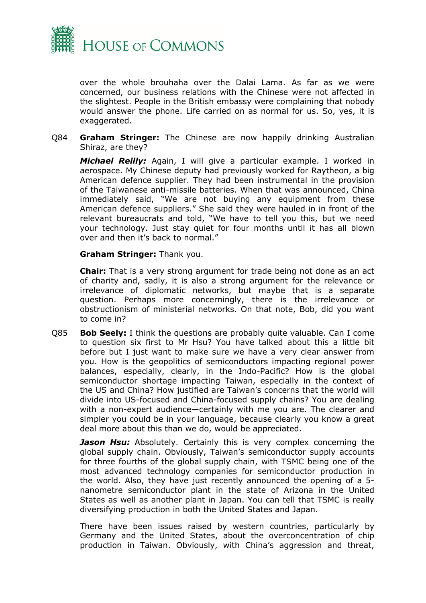

over the whole brouhaha over the Dalai Lama. As far as we were concerned, our business relations with the Chinese were not affected in the slightest. People in the British embassy were complaining that nobody would answer the phone. Life carried on as normal for us. So, yes, it is exaggerated.

Q84 **Graham Stringer:** The Chinese are now happily drinking Australian Shiraz, are they?

*Michael Reilly:* Again, I will give a particular example. I worked in aerospace. My Chinese deputy had previously worked for Raytheon, a big American defence supplier. They had been instrumental in the provision of the Taiwanese anti-missile batteries. When that was announced, China immediately said, "We are not buying any equipment from these American defence suppliers." She said they were hauled in in front of the relevant bureaucrats and told, "We have to tell you this, but we need your technology. Just stay quiet for four months until it has all blown over and then it's back to normal."

**Graham Stringer:** Thank you.

**Chair:** That is a very strong argument for trade being not done as an act of charity and, sadly, it is also a strong argument for the relevance or irrelevance of diplomatic networks, but maybe that is a separate question. Perhaps more concerningly, there is the irrelevance or obstructionism of ministerial networks. On that note, Bob, did you want to come in?

Q85 **Bob Seely:** I think the questions are probably quite valuable. Can I come to question six first to Mr Hsu? You have talked about this a little bit before but I just want to make sure we have a very clear answer from you. How is the geopolitics of semiconductors impacting regional power balances, especially, clearly, in the Indo-Pacific? How is the global semiconductor shortage impacting Taiwan, especially in the context of the US and China? How justified are Taiwan's concerns that the world will divide into US-focused and China-focused supply chains? You are dealing with a non-expert audience—certainly with me you are. The clearer and simpler you could be in your language, because clearly you know a great deal more about this than we do, would be appreciated.

**Jason Hsu:** Absolutely. Certainly this is very complex concerning the global supply chain. Obviously, Taiwan's semiconductor supply accounts for three fourths of the global supply chain, with TSMC being one of the most advanced technology companies for semiconductor production in the world. Also, they have just recently announced the opening of a 5 nanometre semiconductor plant in the state of Arizona in the United States as well as another plant in Japan. You can tell that TSMC is really diversifying production in both the United States and Japan.

There have been issues raised by western countries, particularly by Germany and the United States, about the overconcentration of chip production in Taiwan. Obviously, with China's aggression and threat,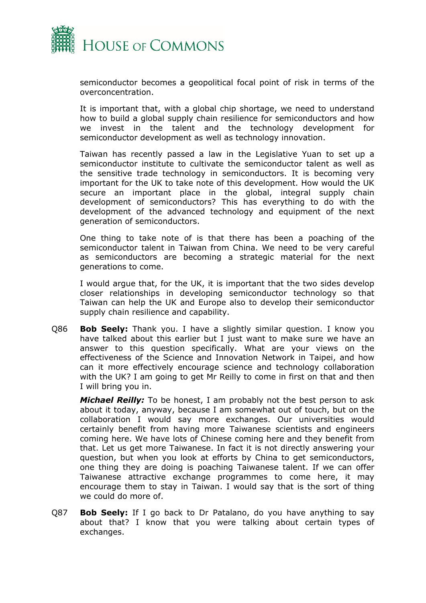

semiconductor becomes a geopolitical focal point of risk in terms of the overconcentration.

It is important that, with a global chip shortage, we need to understand how to build a global supply chain resilience for semiconductors and how we invest in the talent and the technology development for semiconductor development as well as technology innovation.

Taiwan has recently passed a law in the Legislative Yuan to set up a semiconductor institute to cultivate the semiconductor talent as well as the sensitive trade technology in semiconductors. It is becoming very important for the UK to take note of this development. How would the UK secure an important place in the global, integral supply chain development of semiconductors? This has everything to do with the development of the advanced technology and equipment of the next generation of semiconductors.

One thing to take note of is that there has been a poaching of the semiconductor talent in Taiwan from China. We need to be very careful as semiconductors are becoming a strategic material for the next generations to come.

I would argue that, for the UK, it is important that the two sides develop closer relationships in developing semiconductor technology so that Taiwan can help the UK and Europe also to develop their semiconductor supply chain resilience and capability.

Q86 **Bob Seely:** Thank you. I have a slightly similar question. I know you have talked about this earlier but I just want to make sure we have an answer to this question specifically. What are your views on the effectiveness of the Science and Innovation Network in Taipei, and how can it more effectively encourage science and technology collaboration with the UK? I am going to get Mr Reilly to come in first on that and then I will bring you in.

*Michael Reilly:* To be honest, I am probably not the best person to ask about it today, anyway, because I am somewhat out of touch, but on the collaboration I would say more exchanges. Our universities would certainly benefit from having more Taiwanese scientists and engineers coming here. We have lots of Chinese coming here and they benefit from that. Let us get more Taiwanese. In fact it is not directly answering your question, but when you look at efforts by China to get semiconductors, one thing they are doing is poaching Taiwanese talent. If we can offer Taiwanese attractive exchange programmes to come here, it may encourage them to stay in Taiwan. I would say that is the sort of thing we could do more of.

Q87 **Bob Seely:** If I go back to Dr Patalano, do you have anything to say about that? I know that you were talking about certain types of exchanges.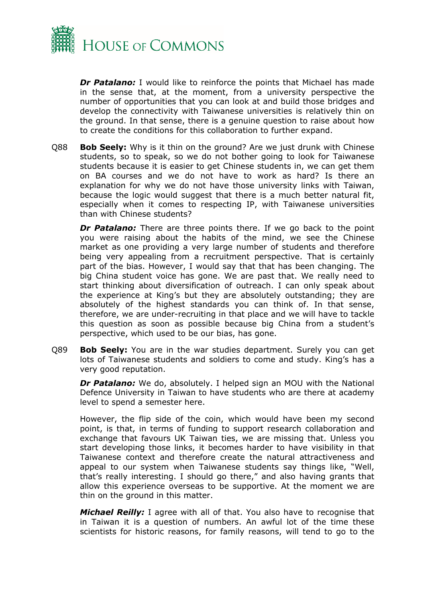

**Dr Patalano:** I would like to reinforce the points that Michael has made in the sense that, at the moment, from a university perspective the number of opportunities that you can look at and build those bridges and develop the connectivity with Taiwanese universities is relatively thin on the ground. In that sense, there is a genuine question to raise about how to create the conditions for this collaboration to further expand.

Q88 **Bob Seely:** Why is it thin on the ground? Are we just drunk with Chinese students, so to speak, so we do not bother going to look for Taiwanese students because it is easier to get Chinese students in, we can get them on BA courses and we do not have to work as hard? Is there an explanation for why we do not have those university links with Taiwan, because the logic would suggest that there is a much better natural fit, especially when it comes to respecting IP, with Taiwanese universities than with Chinese students?

**Dr Patalano:** There are three points there. If we go back to the point you were raising about the habits of the mind, we see the Chinese market as one providing a very large number of students and therefore being very appealing from a recruitment perspective. That is certainly part of the bias. However, I would say that that has been changing. The big China student voice has gone. We are past that. We really need to start thinking about diversification of outreach. I can only speak about the experience at King's but they are absolutely outstanding; they are absolutely of the highest standards you can think of. In that sense, therefore, we are under-recruiting in that place and we will have to tackle this question as soon as possible because big China from a student's perspective, which used to be our bias, has gone.

Q89 **Bob Seely:** You are in the war studies department. Surely you can get lots of Taiwanese students and soldiers to come and study. King's has a very good reputation.

*Dr Patalano:* We do, absolutely. I helped sign an MOU with the National Defence University in Taiwan to have students who are there at academy level to spend a semester here.

However, the flip side of the coin, which would have been my second point, is that, in terms of funding to support research collaboration and exchange that favours UK Taiwan ties, we are missing that. Unless you start developing those links, it becomes harder to have visibility in that Taiwanese context and therefore create the natural attractiveness and appeal to our system when Taiwanese students say things like, "Well, that's really interesting. I should go there," and also having grants that allow this experience overseas to be supportive. At the moment we are thin on the ground in this matter.

*Michael Reilly:* I agree with all of that. You also have to recognise that in Taiwan it is a question of numbers. An awful lot of the time these scientists for historic reasons, for family reasons, will tend to go to the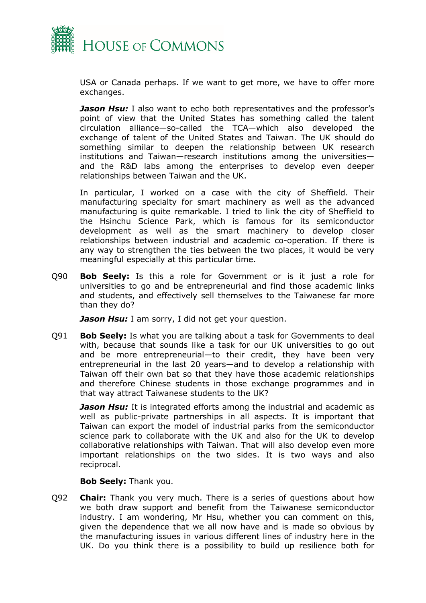

USA or Canada perhaps. If we want to get more, we have to offer more exchanges.

*Jason Hsu:* I also want to echo both representatives and the professor's point of view that the United States has something called the talent circulation alliance—so-called the TCA—which also developed the exchange of talent of the United States and Taiwan. The UK should do something similar to deepen the relationship between UK research institutions and Taiwan—research institutions among the universities and the R&D labs among the enterprises to develop even deeper relationships between Taiwan and the UK.

In particular, I worked on a case with the city of Sheffield. Their manufacturing specialty for smart machinery as well as the advanced manufacturing is quite remarkable. I tried to link the city of Sheffield to the Hsinchu Science Park, which is famous for its semiconductor development as well as the smart machinery to develop closer relationships between industrial and academic co-operation. If there is any way to strengthen the ties between the two places, it would be very meaningful especially at this particular time.

Q90 **Bob Seely:** Is this a role for Government or is it just a role for universities to go and be entrepreneurial and find those academic links and students, and effectively sell themselves to the Taiwanese far more than they do?

*Jason Hsu:* I am sorry, I did not get your question.

Q91 **Bob Seely:** Is what you are talking about a task for Governments to deal with, because that sounds like a task for our UK universities to go out and be more entrepreneurial—to their credit, they have been very entrepreneurial in the last 20 years—and to develop a relationship with Taiwan off their own bat so that they have those academic relationships and therefore Chinese students in those exchange programmes and in that way attract Taiwanese students to the UK?

*Jason Hsu:* It is integrated efforts among the industrial and academic as well as public-private partnerships in all aspects. It is important that Taiwan can export the model of industrial parks from the semiconductor science park to collaborate with the UK and also for the UK to develop collaborative relationships with Taiwan. That will also develop even more important relationships on the two sides. It is two ways and also reciprocal.

#### **Bob Seely:** Thank you.

Q92 **Chair:** Thank you very much. There is a series of questions about how we both draw support and benefit from the Taiwanese semiconductor industry. I am wondering, Mr Hsu, whether you can comment on this, given the dependence that we all now have and is made so obvious by the manufacturing issues in various different lines of industry here in the UK. Do you think there is a possibility to build up resilience both for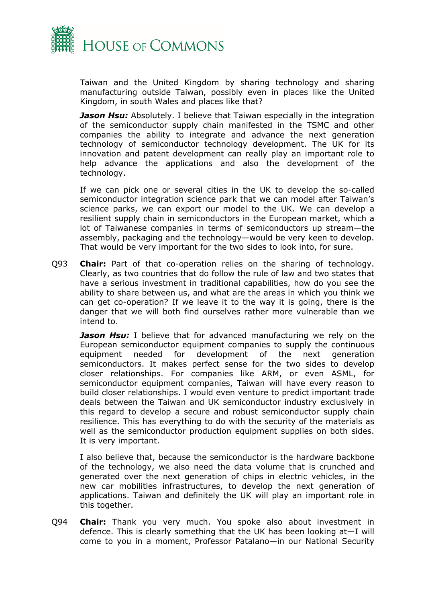

Taiwan and the United Kingdom by sharing technology and sharing manufacturing outside Taiwan, possibly even in places like the United Kingdom, in south Wales and places like that?

*Jason Hsu:* Absolutely. I believe that Taiwan especially in the integration of the semiconductor supply chain manifested in the TSMC and other companies the ability to integrate and advance the next generation technology of semiconductor technology development. The UK for its innovation and patent development can really play an important role to help advance the applications and also the development of the technology.

If we can pick one or several cities in the UK to develop the so-called semiconductor integration science park that we can model after Taiwan's science parks, we can export our model to the UK. We can develop a resilient supply chain in semiconductors in the European market, which a lot of Taiwanese companies in terms of semiconductors up stream—the assembly, packaging and the technology—would be very keen to develop. That would be very important for the two sides to look into, for sure.

Q93 **Chair:** Part of that co-operation relies on the sharing of technology. Clearly, as two countries that do follow the rule of law and two states that have a serious investment in traditional capabilities, how do you see the ability to share between us, and what are the areas in which you think we can get co-operation? If we leave it to the way it is going, there is the danger that we will both find ourselves rather more vulnerable than we intend to.

*Jason Hsu:* I believe that for advanced manufacturing we rely on the European semiconductor equipment companies to supply the continuous equipment needed for development of the next generation semiconductors. It makes perfect sense for the two sides to develop closer relationships. For companies like ARM, or even ASML, for semiconductor equipment companies, Taiwan will have every reason to build closer relationships. I would even venture to predict important trade deals between the Taiwan and UK semiconductor industry exclusively in this regard to develop a secure and robust semiconductor supply chain resilience. This has everything to do with the security of the materials as well as the semiconductor production equipment supplies on both sides. It is very important.

I also believe that, because the semiconductor is the hardware backbone of the technology, we also need the data volume that is crunched and generated over the next generation of chips in electric vehicles, in the new car mobilities infrastructures, to develop the next generation of applications. Taiwan and definitely the UK will play an important role in this together.

Q94 **Chair:** Thank you very much. You spoke also about investment in defence. This is clearly something that the UK has been looking at—I will come to you in a moment, Professor Patalano—in our National Security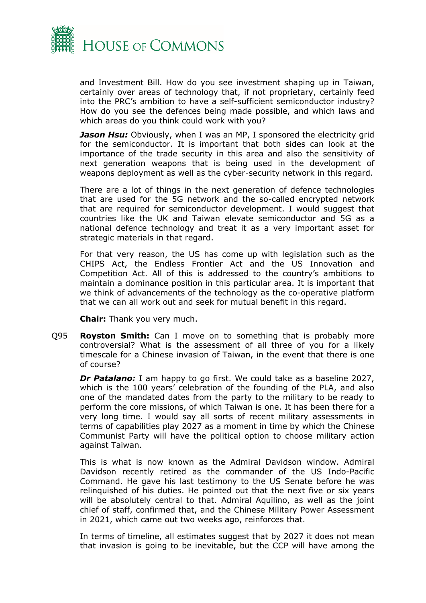

and Investment Bill. How do you see investment shaping up in Taiwan, certainly over areas of technology that, if not proprietary, certainly feed into the PRC's ambition to have a self-sufficient semiconductor industry? How do you see the defences being made possible, and which laws and which areas do you think could work with you?

*Jason Hsu:* Obviously, when I was an MP, I sponsored the electricity grid for the semiconductor. It is important that both sides can look at the importance of the trade security in this area and also the sensitivity of next generation weapons that is being used in the development of weapons deployment as well as the cyber-security network in this regard.

There are a lot of things in the next generation of defence technologies that are used for the 5G network and the so-called encrypted network that are required for semiconductor development. I would suggest that countries like the UK and Taiwan elevate semiconductor and 5G as a national defence technology and treat it as a very important asset for strategic materials in that regard.

For that very reason, the US has come up with legislation such as the CHIPS Act, the Endless Frontier Act and the US Innovation and Competition Act. All of this is addressed to the country's ambitions to maintain a dominance position in this particular area. It is important that we think of advancements of the technology as the co-operative platform that we can all work out and seek for mutual benefit in this regard.

**Chair:** Thank you very much.

Q95 **Royston Smith:** Can I move on to something that is probably more controversial? What is the assessment of all three of you for a likely timescale for a Chinese invasion of Taiwan, in the event that there is one of course?

*Dr Patalano:* I am happy to go first. We could take as a baseline 2027, which is the 100 years' celebration of the founding of the PLA, and also one of the mandated dates from the party to the military to be ready to perform the core missions, of which Taiwan is one. It has been there for a very long time. I would say all sorts of recent military assessments in terms of capabilities play 2027 as a moment in time by which the Chinese Communist Party will have the political option to choose military action against Taiwan.

This is what is now known as the Admiral Davidson window. Admiral Davidson recently retired as the commander of the US Indo-Pacific Command. He gave his last testimony to the US Senate before he was relinquished of his duties. He pointed out that the next five or six years will be absolutely central to that. Admiral Aquilino, as well as the joint chief of staff, confirmed that, and the Chinese Military Power Assessment in 2021, which came out two weeks ago, reinforces that.

In terms of timeline, all estimates suggest that by 2027 it does not mean that invasion is going to be inevitable, but the CCP will have among the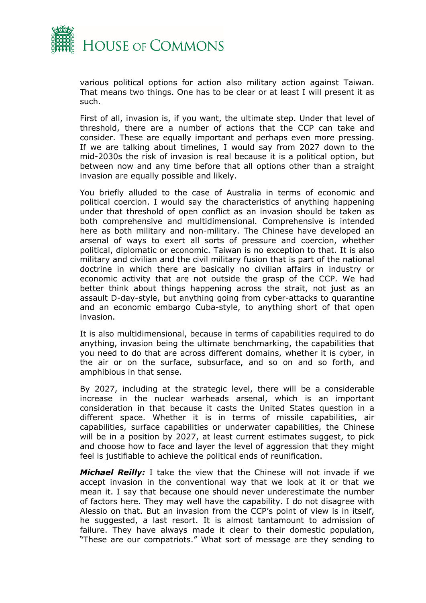

various political options for action also military action against Taiwan. That means two things. One has to be clear or at least I will present it as such.

First of all, invasion is, if you want, the ultimate step. Under that level of threshold, there are a number of actions that the CCP can take and consider. These are equally important and perhaps even more pressing. If we are talking about timelines, I would say from 2027 down to the mid-2030s the risk of invasion is real because it is a political option, but between now and any time before that all options other than a straight invasion are equally possible and likely.

You briefly alluded to the case of Australia in terms of economic and political coercion. I would say the characteristics of anything happening under that threshold of open conflict as an invasion should be taken as both comprehensive and multidimensional. Comprehensive is intended here as both military and non-military. The Chinese have developed an arsenal of ways to exert all sorts of pressure and coercion, whether political, diplomatic or economic. Taiwan is no exception to that. It is also military and civilian and the civil military fusion that is part of the national doctrine in which there are basically no civilian affairs in industry or economic activity that are not outside the grasp of the CCP. We had better think about things happening across the strait, not just as an assault D-day-style, but anything going from cyber-attacks to quarantine and an economic embargo Cuba-style, to anything short of that open invasion.

It is also multidimensional, because in terms of capabilities required to do anything, invasion being the ultimate benchmarking, the capabilities that you need to do that are across different domains, whether it is cyber, in the air or on the surface, subsurface, and so on and so forth, and amphibious in that sense.

By 2027, including at the strategic level, there will be a considerable increase in the nuclear warheads arsenal, which is an important consideration in that because it casts the United States question in a different space. Whether it is in terms of missile capabilities, air capabilities, surface capabilities or underwater capabilities, the Chinese will be in a position by 2027, at least current estimates suggest, to pick and choose how to face and layer the level of aggression that they might feel is justifiable to achieve the political ends of reunification.

*Michael Reilly:* I take the view that the Chinese will not invade if we accept invasion in the conventional way that we look at it or that we mean it. I say that because one should never underestimate the number of factors here. They may well have the capability. I do not disagree with Alessio on that. But an invasion from the CCP's point of view is in itself, he suggested, a last resort. It is almost tantamount to admission of failure. They have always made it clear to their domestic population, "These are our compatriots." What sort of message are they sending to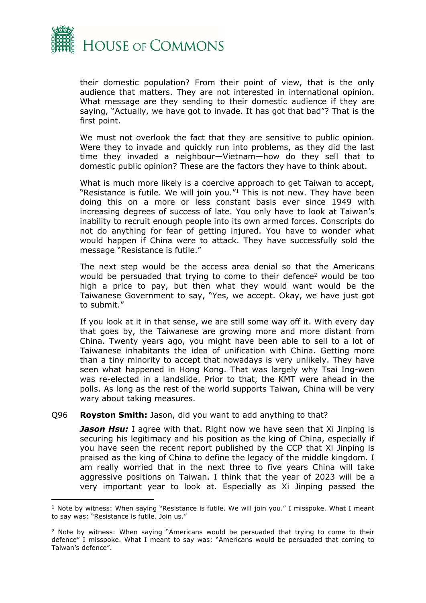

their domestic population? From their point of view, that is the only audience that matters. They are not interested in international opinion. What message are they sending to their domestic audience if they are saying, "Actually, we have got to invade. It has got that bad"? That is the first point.

We must not overlook the fact that they are sensitive to public opinion. Were they to invade and quickly run into problems, as they did the last time they invaded a neighbour—Vietnam—how do they sell that to domestic public opinion? These are the factors they have to think about.

What is much more likely is a coercive approach to get Taiwan to accept, "Resistance is futile. We will join you."<sup>1</sup> This is not new. They have been doing this on a more or less constant basis ever since 1949 with increasing degrees of success of late. You only have to look at Taiwan's inability to recruit enough people into its own armed forces. Conscripts do not do anything for fear of getting injured. You have to wonder what would happen if China were to attack. They have successfully sold the message "Resistance is futile."

The next step would be the access area denial so that the Americans would be persuaded that trying to come to their defence<sup>2</sup> would be too high a price to pay, but then what they would want would be the Taiwanese Government to say, "Yes, we accept. Okay, we have just got to submit."

If you look at it in that sense, we are still some way off it. With every day that goes by, the Taiwanese are growing more and more distant from China. Twenty years ago, you might have been able to sell to a lot of Taiwanese inhabitants the idea of unification with China. Getting more than a tiny minority to accept that nowadays is very unlikely. They have seen what happened in Hong Kong. That was largely why Tsai Ing-wen was re-elected in a landslide. Prior to that, the KMT were ahead in the polls. As long as the rest of the world supports Taiwan, China will be very wary about taking measures.

#### Q96 **Royston Smith:** Jason, did you want to add anything to that?

*Jason Hsu:* I agree with that. Right now we have seen that Xi Jinping is securing his legitimacy and his position as the king of China, especially if you have seen the recent report published by the CCP that Xi Jinping is praised as the king of China to define the legacy of the middle kingdom. I am really worried that in the next three to five years China will take aggressive positions on Taiwan. I think that the year of 2023 will be a very important year to look at. Especially as Xi Jinping passed the

 $<sup>1</sup>$  Note by witness: When saying "Resistance is futile. We will join you." I misspoke. What I meant</sup> to say was: "Resistance is futile. Join us."

<sup>&</sup>lt;sup>2</sup> Note by witness: When saying "Americans would be persuaded that trying to come to their defence" I misspoke. What I meant to say was: "Americans would be persuaded that coming to Taiwan's defence".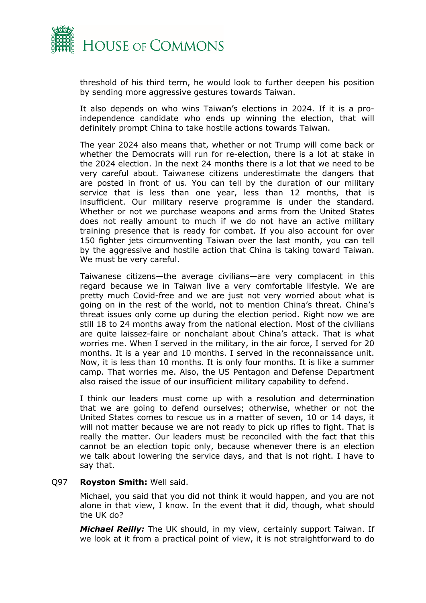

threshold of his third term, he would look to further deepen his position by sending more aggressive gestures towards Taiwan.

It also depends on who wins Taiwan's elections in 2024. If it is a proindependence candidate who ends up winning the election, that will definitely prompt China to take hostile actions towards Taiwan.

The year 2024 also means that, whether or not Trump will come back or whether the Democrats will run for re-election, there is a lot at stake in the 2024 election. In the next 24 months there is a lot that we need to be very careful about. Taiwanese citizens underestimate the dangers that are posted in front of us. You can tell by the duration of our military service that is less than one year, less than 12 months, that is insufficient. Our military reserve programme is under the standard. Whether or not we purchase weapons and arms from the United States does not really amount to much if we do not have an active military training presence that is ready for combat. If you also account for over 150 fighter jets circumventing Taiwan over the last month, you can tell by the aggressive and hostile action that China is taking toward Taiwan. We must be very careful.

Taiwanese citizens—the average civilians—are very complacent in this regard because we in Taiwan live a very comfortable lifestyle. We are pretty much Covid-free and we are just not very worried about what is going on in the rest of the world, not to mention China's threat. China's threat issues only come up during the election period. Right now we are still 18 to 24 months away from the national election. Most of the civilians are quite laissez-faire or nonchalant about China's attack. That is what worries me. When I served in the military, in the air force, I served for 20 months. It is a year and 10 months. I served in the reconnaissance unit. Now, it is less than 10 months. It is only four months. It is like a summer camp. That worries me. Also, the US Pentagon and Defense Department also raised the issue of our insufficient military capability to defend.

I think our leaders must come up with a resolution and determination that we are going to defend ourselves; otherwise, whether or not the United States comes to rescue us in a matter of seven, 10 or 14 days, it will not matter because we are not ready to pick up rifles to fight. That is really the matter. Our leaders must be reconciled with the fact that this cannot be an election topic only, because whenever there is an election we talk about lowering the service days, and that is not right. I have to say that.

#### Q97 **Royston Smith:** Well said.

Michael, you said that you did not think it would happen, and you are not alone in that view, I know. In the event that it did, though, what should the UK do?

*Michael Reilly:* The UK should, in my view, certainly support Taiwan. If we look at it from a practical point of view, it is not straightforward to do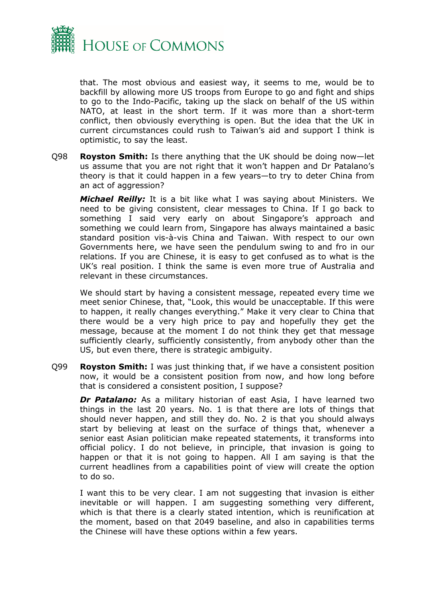

that. The most obvious and easiest way, it seems to me, would be to backfill by allowing more US troops from Europe to go and fight and ships to go to the Indo-Pacific, taking up the slack on behalf of the US within NATO, at least in the short term. If it was more than a short-term conflict, then obviously everything is open. But the idea that the UK in current circumstances could rush to Taiwan's aid and support I think is optimistic, to say the least.

Q98 **Royston Smith:** Is there anything that the UK should be doing now—let us assume that you are not right that it won't happen and Dr Patalano's theory is that it could happen in a few years—to try to deter China from an act of aggression?

*Michael Reilly:* It is a bit like what I was saying about Ministers. We need to be giving consistent, clear messages to China. If I go back to something I said very early on about Singapore's approach and something we could learn from, Singapore has always maintained a basic standard position vis-à-vis China and Taiwan. With respect to our own Governments here, we have seen the pendulum swing to and fro in our relations. If you are Chinese, it is easy to get confused as to what is the UK's real position. I think the same is even more true of Australia and relevant in these circumstances.

We should start by having a consistent message, repeated every time we meet senior Chinese, that, "Look, this would be unacceptable. If this were to happen, it really changes everything." Make it very clear to China that there would be a very high price to pay and hopefully they get the message, because at the moment I do not think they get that message sufficiently clearly, sufficiently consistently, from anybody other than the US, but even there, there is strategic ambiguity.

Q99 **Royston Smith:** I was just thinking that, if we have a consistent position now, it would be a consistent position from now, and how long before that is considered a consistent position, I suppose?

**Dr Patalano:** As a military historian of east Asia, I have learned two things in the last 20 years. No. 1 is that there are lots of things that should never happen, and still they do. No. 2 is that you should always start by believing at least on the surface of things that, whenever a senior east Asian politician make repeated statements, it transforms into official policy. I do not believe, in principle, that invasion is going to happen or that it is not going to happen. All I am saying is that the current headlines from a capabilities point of view will create the option to do so.

I want this to be very clear. I am not suggesting that invasion is either inevitable or will happen. I am suggesting something very different, which is that there is a clearly stated intention, which is reunification at the moment, based on that 2049 baseline, and also in capabilities terms the Chinese will have these options within a few years.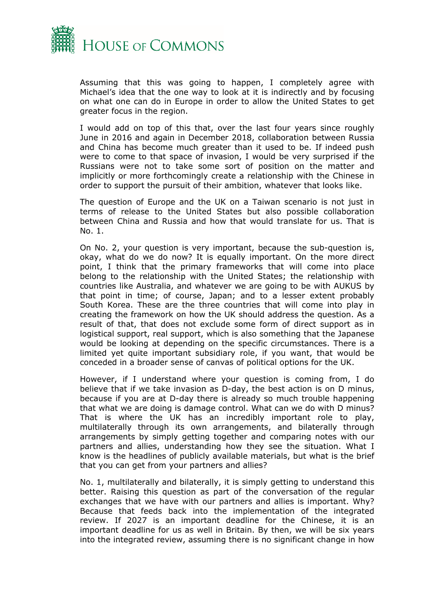

Assuming that this was going to happen, I completely agree with Michael's idea that the one way to look at it is indirectly and by focusing on what one can do in Europe in order to allow the United States to get greater focus in the region.

I would add on top of this that, over the last four years since roughly June in 2016 and again in December 2018, collaboration between Russia and China has become much greater than it used to be. If indeed push were to come to that space of invasion, I would be very surprised if the Russians were not to take some sort of position on the matter and implicitly or more forthcomingly create a relationship with the Chinese in order to support the pursuit of their ambition, whatever that looks like.

The question of Europe and the UK on a Taiwan scenario is not just in terms of release to the United States but also possible collaboration between China and Russia and how that would translate for us. That is No. 1.

On No. 2, your question is very important, because the sub-question is, okay, what do we do now? It is equally important. On the more direct point, I think that the primary frameworks that will come into place belong to the relationship with the United States; the relationship with countries like Australia, and whatever we are going to be with AUKUS by that point in time; of course, Japan; and to a lesser extent probably South Korea. These are the three countries that will come into play in creating the framework on how the UK should address the question. As a result of that, that does not exclude some form of direct support as in logistical support, real support, which is also something that the Japanese would be looking at depending on the specific circumstances. There is a limited yet quite important subsidiary role, if you want, that would be conceded in a broader sense of canvas of political options for the UK.

However, if I understand where your question is coming from, I do believe that if we take invasion as D-day, the best action is on D minus, because if you are at D-day there is already so much trouble happening that what we are doing is damage control. What can we do with D minus? That is where the UK has an incredibly important role to play, multilaterally through its own arrangements, and bilaterally through arrangements by simply getting together and comparing notes with our partners and allies, understanding how they see the situation. What I know is the headlines of publicly available materials, but what is the brief that you can get from your partners and allies?

No. 1, multilaterally and bilaterally, it is simply getting to understand this better. Raising this question as part of the conversation of the regular exchanges that we have with our partners and allies is important. Why? Because that feeds back into the implementation of the integrated review. If 2027 is an important deadline for the Chinese, it is an important deadline for us as well in Britain. By then, we will be six years into the integrated review, assuming there is no significant change in how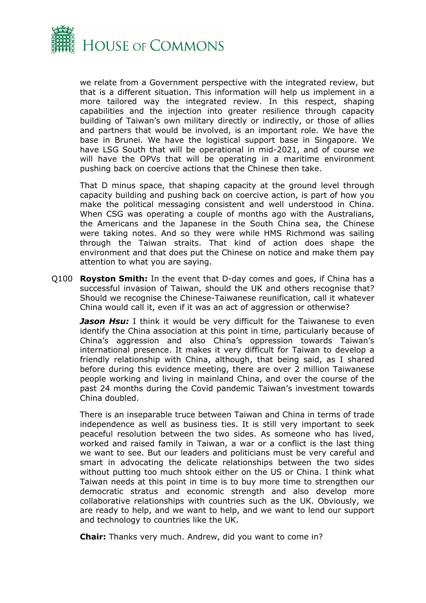

we relate from a Government perspective with the integrated review, but that is a different situation. This information will help us implement in a more tailored way the integrated review. In this respect, shaping capabilities and the injection into greater resilience through capacity building of Taiwan's own military directly or indirectly, or those of allies and partners that would be involved, is an important role. We have the base in Brunei. We have the logistical support base in Singapore. We have LSG South that will be operational in mid-2021, and of course we will have the OPVs that will be operating in a maritime environment pushing back on coercive actions that the Chinese then take.

That D minus space, that shaping capacity at the ground level through capacity building and pushing back on coercive action, is part of how you make the political messaging consistent and well understood in China. When CSG was operating a couple of months ago with the Australians, the Americans and the Japanese in the South China sea, the Chinese were taking notes. And so they were while HMS Richmond was sailing through the Taiwan straits. That kind of action does shape the environment and that does put the Chinese on notice and make them pay attention to what you are saying.

Q100 **Royston Smith:** In the event that D-day comes and goes, if China has a successful invasion of Taiwan, should the UK and others recognise that? Should we recognise the Chinese-Taiwanese reunification, call it whatever China would call it, even if it was an act of aggression or otherwise?

**Jason Hsu:** I think it would be very difficult for the Taiwanese to even identify the China association at this point in time, particularly because of China's aggression and also China's oppression towards Taiwan's international presence. It makes it very difficult for Taiwan to develop a friendly relationship with China, although, that being said, as I shared before during this evidence meeting, there are over 2 million Taiwanese people working and living in mainland China, and over the course of the past 24 months during the Covid pandemic Taiwan's investment towards China doubled.

There is an inseparable truce between Taiwan and China in terms of trade independence as well as business ties. It is still very important to seek peaceful resolution between the two sides. As someone who has lived, worked and raised family in Taiwan, a war or a conflict is the last thing we want to see. But our leaders and politicians must be very careful and smart in advocating the delicate relationships between the two sides without putting too much shtook either on the US or China. I think what Taiwan needs at this point in time is to buy more time to strengthen our democratic stratus and economic strength and also develop more collaborative relationships with countries such as the UK. Obviously, we are ready to help, and we want to help, and we want to lend our support and technology to countries like the UK.

**Chair:** Thanks very much. Andrew, did you want to come in?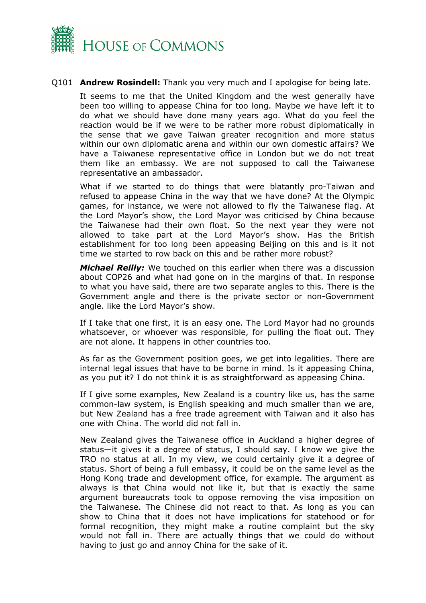

#### Q101 **Andrew Rosindell:** Thank you very much and I apologise for being late.

It seems to me that the United Kingdom and the west generally have been too willing to appease China for too long. Maybe we have left it to do what we should have done many years ago. What do you feel the reaction would be if we were to be rather more robust diplomatically in the sense that we gave Taiwan greater recognition and more status within our own diplomatic arena and within our own domestic affairs? We have a Taiwanese representative office in London but we do not treat them like an embassy. We are not supposed to call the Taiwanese representative an ambassador.

What if we started to do things that were blatantly pro-Taiwan and refused to appease China in the way that we have done? At the Olympic games, for instance, we were not allowed to fly the Taiwanese flag. At the Lord Mayor's show, the Lord Mayor was criticised by China because the Taiwanese had their own float. So the next year they were not allowed to take part at the Lord Mayor's show. Has the British establishment for too long been appeasing Beijing on this and is it not time we started to row back on this and be rather more robust?

*Michael Reilly:* We touched on this earlier when there was a discussion about COP26 and what had gone on in the margins of that. In response to what you have said, there are two separate angles to this. There is the Government angle and there is the private sector or non-Government angle. like the Lord Mayor's show.

If I take that one first, it is an easy one. The Lord Mayor had no grounds whatsoever, or whoever was responsible, for pulling the float out. They are not alone. It happens in other countries too.

As far as the Government position goes, we get into legalities. There are internal legal issues that have to be borne in mind. Is it appeasing China, as you put it? I do not think it is as straightforward as appeasing China.

If I give some examples, New Zealand is a country like us, has the same common-law system, is English speaking and much smaller than we are, but New Zealand has a free trade agreement with Taiwan and it also has one with China. The world did not fall in.

New Zealand gives the Taiwanese office in Auckland a higher degree of status—it gives it a degree of status, I should say. I know we give the TRO no status at all. In my view, we could certainly give it a degree of status. Short of being a full embassy, it could be on the same level as the Hong Kong trade and development office, for example. The argument as always is that China would not like it, but that is exactly the same argument bureaucrats took to oppose removing the visa imposition on the Taiwanese. The Chinese did not react to that. As long as you can show to China that it does not have implications for statehood or for formal recognition, they might make a routine complaint but the sky would not fall in. There are actually things that we could do without having to just go and annoy China for the sake of it.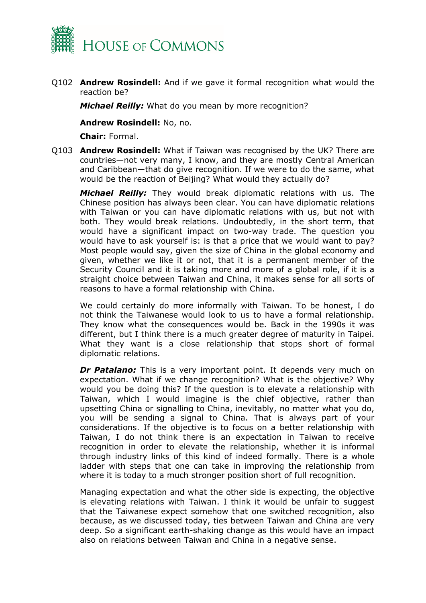

Q102 **Andrew Rosindell:** And if we gave it formal recognition what would the reaction be?

*Michael Reilly:* What do you mean by more recognition?

**Andrew Rosindell:** No, no.

**Chair:** Formal.

Q103 **Andrew Rosindell:** What if Taiwan was recognised by the UK? There are countries—not very many, I know, and they are mostly Central American and Caribbean—that do give recognition. If we were to do the same, what would be the reaction of Beijing? What would they actually do?

*Michael Reilly:* They would break diplomatic relations with us. The Chinese position has always been clear. You can have diplomatic relations with Taiwan or you can have diplomatic relations with us, but not with both. They would break relations. Undoubtedly, in the short term, that would have a significant impact on two-way trade. The question you would have to ask yourself is: is that a price that we would want to pay? Most people would say, given the size of China in the global economy and given, whether we like it or not, that it is a permanent member of the Security Council and it is taking more and more of a global role, if it is a straight choice between Taiwan and China, it makes sense for all sorts of reasons to have a formal relationship with China.

We could certainly do more informally with Taiwan. To be honest, I do not think the Taiwanese would look to us to have a formal relationship. They know what the consequences would be. Back in the 1990s it was different, but I think there is a much greater degree of maturity in Taipei. What they want is a close relationship that stops short of formal diplomatic relations.

**Dr Patalano:** This is a very important point. It depends very much on expectation. What if we change recognition? What is the objective? Why would you be doing this? If the question is to elevate a relationship with Taiwan, which I would imagine is the chief objective, rather than upsetting China or signalling to China, inevitably, no matter what you do, you will be sending a signal to China. That is always part of your considerations. If the objective is to focus on a better relationship with Taiwan, I do not think there is an expectation in Taiwan to receive recognition in order to elevate the relationship, whether it is informal through industry links of this kind of indeed formally. There is a whole ladder with steps that one can take in improving the relationship from where it is today to a much stronger position short of full recognition.

Managing expectation and what the other side is expecting, the objective is elevating relations with Taiwan. I think it would be unfair to suggest that the Taiwanese expect somehow that one switched recognition, also because, as we discussed today, ties between Taiwan and China are very deep. So a significant earth-shaking change as this would have an impact also on relations between Taiwan and China in a negative sense.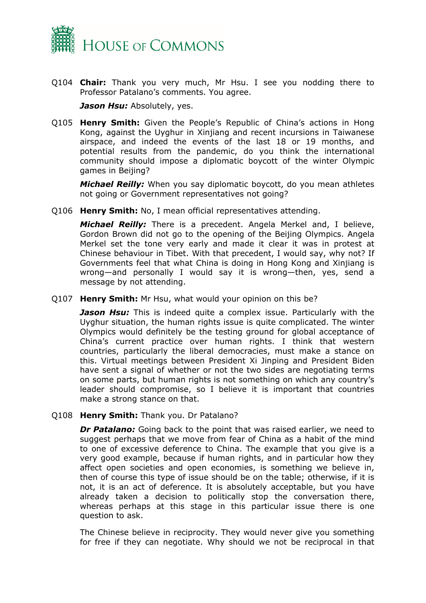

Q104 **Chair:** Thank you very much, Mr Hsu. I see you nodding there to Professor Patalano's comments. You agree.

*Jason Hsu:* Absolutely, yes.

Q105 **Henry Smith:** Given the People's Republic of China's actions in Hong Kong, against the Uyghur in Xinjiang and recent incursions in Taiwanese airspace, and indeed the events of the last 18 or 19 months, and potential results from the pandemic, do you think the international community should impose a diplomatic boycott of the winter Olympic games in Beijing?

*Michael Reilly:* When you say diplomatic boycott, do you mean athletes not going or Government representatives not going?

Q106 **Henry Smith:** No, I mean official representatives attending.

*Michael Reilly:* There is a precedent. Angela Merkel and, I believe, Gordon Brown did not go to the opening of the Beijing Olympics. Angela Merkel set the tone very early and made it clear it was in protest at Chinese behaviour in Tibet. With that precedent, I would say, why not? If Governments feel that what China is doing in Hong Kong and Xinjiang is wrong—and personally I would say it is wrong—then, yes, send a message by not attending.

Q107 **Henry Smith:** Mr Hsu, what would your opinion on this be?

*Jason Hsu:* This is indeed quite a complex issue. Particularly with the Uyghur situation, the human rights issue is quite complicated. The winter Olympics would definitely be the testing ground for global acceptance of China's current practice over human rights. I think that western countries, particularly the liberal democracies, must make a stance on this. Virtual meetings between President Xi Jinping and President Biden have sent a signal of whether or not the two sides are negotiating terms on some parts, but human rights is not something on which any country's leader should compromise, so I believe it is important that countries make a strong stance on that.

Q108 **Henry Smith:** Thank you. Dr Patalano?

*Dr Patalano:* Going back to the point that was raised earlier, we need to suggest perhaps that we move from fear of China as a habit of the mind to one of excessive deference to China. The example that you give is a very good example, because if human rights, and in particular how they affect open societies and open economies, is something we believe in, then of course this type of issue should be on the table; otherwise, if it is not, it is an act of deference. It is absolutely acceptable, but you have already taken a decision to politically stop the conversation there, whereas perhaps at this stage in this particular issue there is one question to ask.

The Chinese believe in reciprocity. They would never give you something for free if they can negotiate. Why should we not be reciprocal in that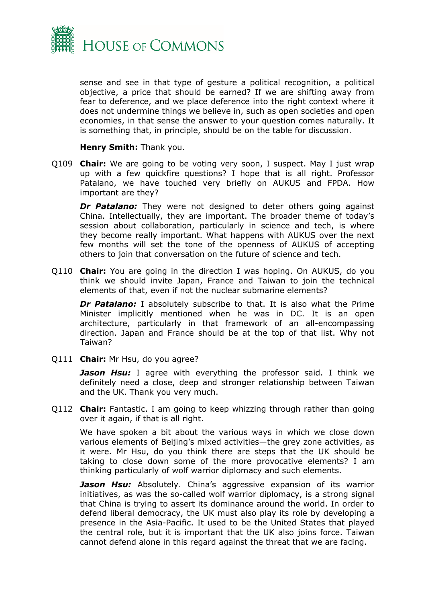

sense and see in that type of gesture a political recognition, a political objective, a price that should be earned? If we are shifting away from fear to deference, and we place deference into the right context where it does not undermine things we believe in, such as open societies and open economies, in that sense the answer to your question comes naturally. It is something that, in principle, should be on the table for discussion.

#### **Henry Smith:** Thank you.

Q109 **Chair:** We are going to be voting very soon, I suspect. May I just wrap up with a few quickfire questions? I hope that is all right. Professor Patalano, we have touched very briefly on AUKUS and FPDA. How important are they?

**Dr Patalano:** They were not designed to deter others going against China. Intellectually, they are important. The broader theme of today's session about collaboration, particularly in science and tech, is where they become really important. What happens with AUKUS over the next few months will set the tone of the openness of AUKUS of accepting others to join that conversation on the future of science and tech.

Q110 **Chair:** You are going in the direction I was hoping. On AUKUS, do you think we should invite Japan, France and Taiwan to join the technical elements of that, even if not the nuclear submarine elements?

**Dr Patalano:** I absolutely subscribe to that. It is also what the Prime Minister implicitly mentioned when he was in DC. It is an open architecture, particularly in that framework of an all-encompassing direction. Japan and France should be at the top of that list. Why not Taiwan?

Q111 **Chair:** Mr Hsu, do you agree?

*Jason Hsu:* I agree with everything the professor said. I think we definitely need a close, deep and stronger relationship between Taiwan and the UK. Thank you very much.

Q112 **Chair:** Fantastic. I am going to keep whizzing through rather than going over it again, if that is all right.

We have spoken a bit about the various ways in which we close down various elements of Beijing's mixed activities—the grey zone activities, as it were. Mr Hsu, do you think there are steps that the UK should be taking to close down some of the more provocative elements? I am thinking particularly of wolf warrior diplomacy and such elements.

**Jason Hsu:** Absolutely. China's aggressive expansion of its warrior initiatives, as was the so-called wolf warrior diplomacy, is a strong signal that China is trying to assert its dominance around the world. In order to defend liberal democracy, the UK must also play its role by developing a presence in the Asia-Pacific. It used to be the United States that played the central role, but it is important that the UK also joins force. Taiwan cannot defend alone in this regard against the threat that we are facing.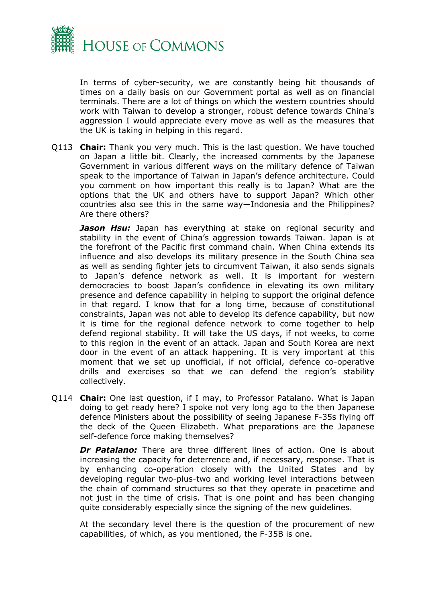

In terms of cyber-security, we are constantly being hit thousands of times on a daily basis on our Government portal as well as on financial terminals. There are a lot of things on which the western countries should work with Taiwan to develop a stronger, robust defence towards China's aggression I would appreciate every move as well as the measures that the UK is taking in helping in this regard.

Q113 **Chair:** Thank you very much. This is the last question. We have touched on Japan a little bit. Clearly, the increased comments by the Japanese Government in various different ways on the military defence of Taiwan speak to the importance of Taiwan in Japan's defence architecture. Could you comment on how important this really is to Japan? What are the options that the UK and others have to support Japan? Which other countries also see this in the same way—Indonesia and the Philippines? Are there others?

**Jason Hsu:** Japan has everything at stake on regional security and stability in the event of China's aggression towards Taiwan. Japan is at the forefront of the Pacific first command chain. When China extends its influence and also develops its military presence in the South China sea as well as sending fighter jets to circumvent Taiwan, it also sends signals to Japan's defence network as well. It is important for western democracies to boost Japan's confidence in elevating its own military presence and defence capability in helping to support the original defence in that regard. I know that for a long time, because of constitutional constraints, Japan was not able to develop its defence capability, but now it is time for the regional defence network to come together to help defend regional stability. It will take the US days, if not weeks, to come to this region in the event of an attack. Japan and South Korea are next door in the event of an attack happening. It is very important at this moment that we set up unofficial, if not official, defence co-operative drills and exercises so that we can defend the region's stability collectively.

Q114 **Chair:** One last question, if I may, to Professor Patalano. What is Japan doing to get ready here? I spoke not very long ago to the then Japanese defence Ministers about the possibility of seeing Japanese F-35s flying off the deck of the Queen Elizabeth. What preparations are the Japanese self-defence force making themselves?

**Dr Patalano:** There are three different lines of action. One is about increasing the capacity for deterrence and, if necessary, response. That is by enhancing co-operation closely with the United States and by developing regular two-plus-two and working level interactions between the chain of command structures so that they operate in peacetime and not just in the time of crisis. That is one point and has been changing quite considerably especially since the signing of the new guidelines.

At the secondary level there is the question of the procurement of new capabilities, of which, as you mentioned, the F-35B is one.